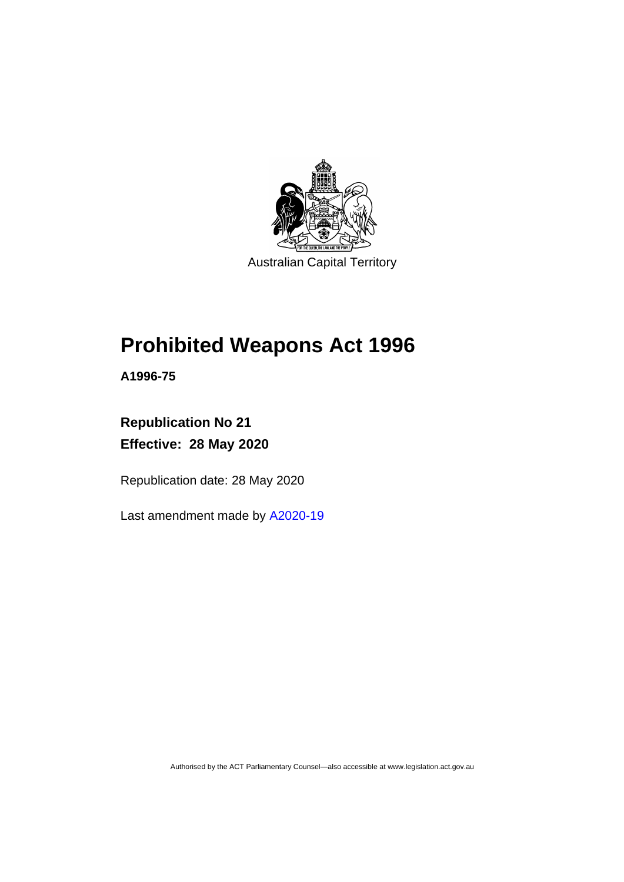

# **Prohibited Weapons Act 1996**

**A1996-75**

**Republication No 21 Effective: 28 May 2020**

Republication date: 28 May 2020

Last amendment made by [A2020-19](http://www.legislation.act.gov.au/a/2020-19/)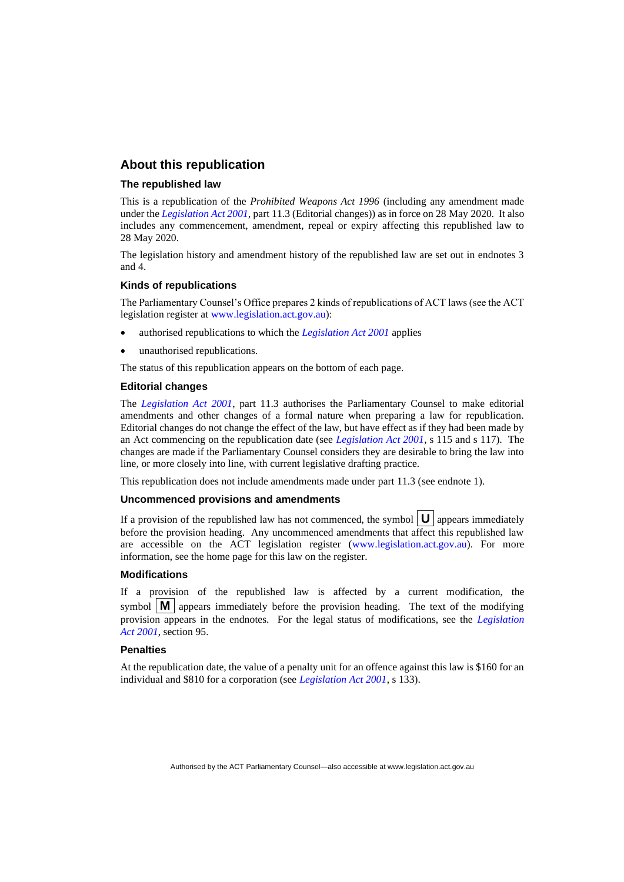#### **About this republication**

#### **The republished law**

This is a republication of the *Prohibited Weapons Act 1996* (including any amendment made under the *[Legislation Act 2001](http://www.legislation.act.gov.au/a/2001-14)*, part 11.3 (Editorial changes)) as in force on 28 May 2020*.* It also includes any commencement, amendment, repeal or expiry affecting this republished law to 28 May 2020.

The legislation history and amendment history of the republished law are set out in endnotes 3 and 4.

#### **Kinds of republications**

The Parliamentary Counsel's Office prepares 2 kinds of republications of ACT laws (see the ACT legislation register at [www.legislation.act.gov.au\)](http://www.legislation.act.gov.au/):

- authorised republications to which the *[Legislation Act 2001](http://www.legislation.act.gov.au/a/2001-14)* applies
- unauthorised republications.

The status of this republication appears on the bottom of each page.

#### **Editorial changes**

The *[Legislation Act 2001](http://www.legislation.act.gov.au/a/2001-14)*, part 11.3 authorises the Parliamentary Counsel to make editorial amendments and other changes of a formal nature when preparing a law for republication. Editorial changes do not change the effect of the law, but have effect as if they had been made by an Act commencing on the republication date (see *[Legislation Act 2001](http://www.legislation.act.gov.au/a/2001-14)*, s 115 and s 117). The changes are made if the Parliamentary Counsel considers they are desirable to bring the law into line, or more closely into line, with current legislative drafting practice.

This republication does not include amendments made under part 11.3 (see endnote 1).

#### **Uncommenced provisions and amendments**

If a provision of the republished law has not commenced, the symbol  $\mathbf{U}$  appears immediately before the provision heading. Any uncommenced amendments that affect this republished law are accessible on the ACT legislation register [\(www.legislation.act.gov.au\)](http://www.legislation.act.gov.au/). For more information, see the home page for this law on the register.

#### **Modifications**

If a provision of the republished law is affected by a current modification, the symbol  $\mathbf{M}$  appears immediately before the provision heading. The text of the modifying provision appears in the endnotes. For the legal status of modifications, see the *[Legislation](http://www.legislation.act.gov.au/a/2001-14)  Act [2001](http://www.legislation.act.gov.au/a/2001-14)*, section 95.

#### **Penalties**

At the republication date, the value of a penalty unit for an offence against this law is \$160 for an individual and \$810 for a corporation (see *[Legislation Act 2001](http://www.legislation.act.gov.au/a/2001-14)*, s 133).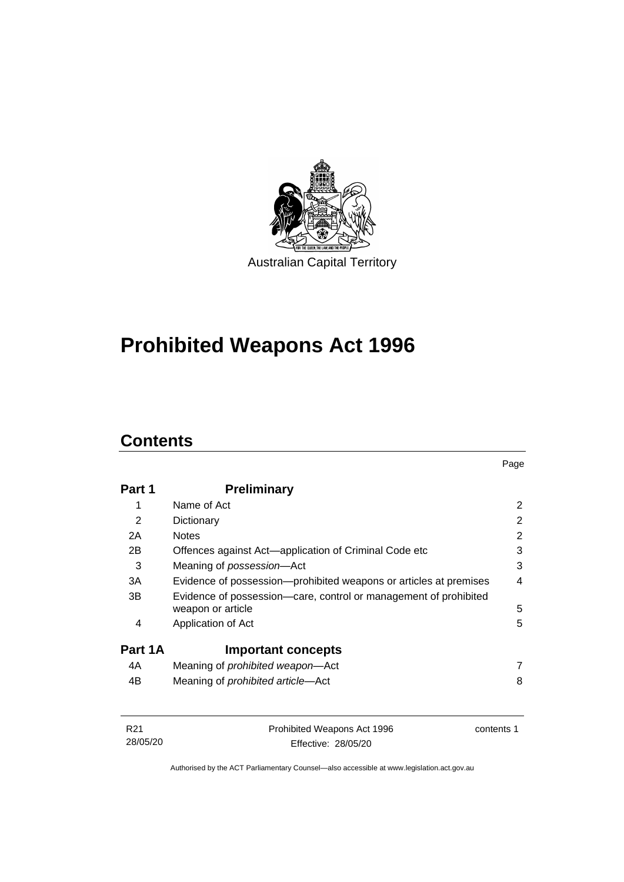

# **Prohibited Weapons Act 1996**

# **Contents**

| Part 1  | <b>Preliminary</b>                                                                    |   |
|---------|---------------------------------------------------------------------------------------|---|
| 1       | Name of Act                                                                           | 2 |
| 2       | Dictionary                                                                            | 2 |
| 2A      | <b>Notes</b>                                                                          | 2 |
| 2B      | Offences against Act—application of Criminal Code etc                                 | 3 |
| 3       | Meaning of <i>possession</i> —Act                                                     | 3 |
| 3A      | Evidence of possession—prohibited weapons or articles at premises                     | 4 |
| 3B      | Evidence of possession—care, control or management of prohibited<br>weapon or article | 5 |
| 4       | Application of Act                                                                    | 5 |
| Part 1A | <b>Important concepts</b>                                                             |   |
| 4A      | Meaning of prohibited weapon-Act                                                      | 7 |
| 4B      | Meaning of <i>prohibited article</i> —Act                                             | 8 |

| R21      | Prohibited Weapons Act 1996 | contents 1 |
|----------|-----------------------------|------------|
| 28/05/20 | Effective: 28/05/20         |            |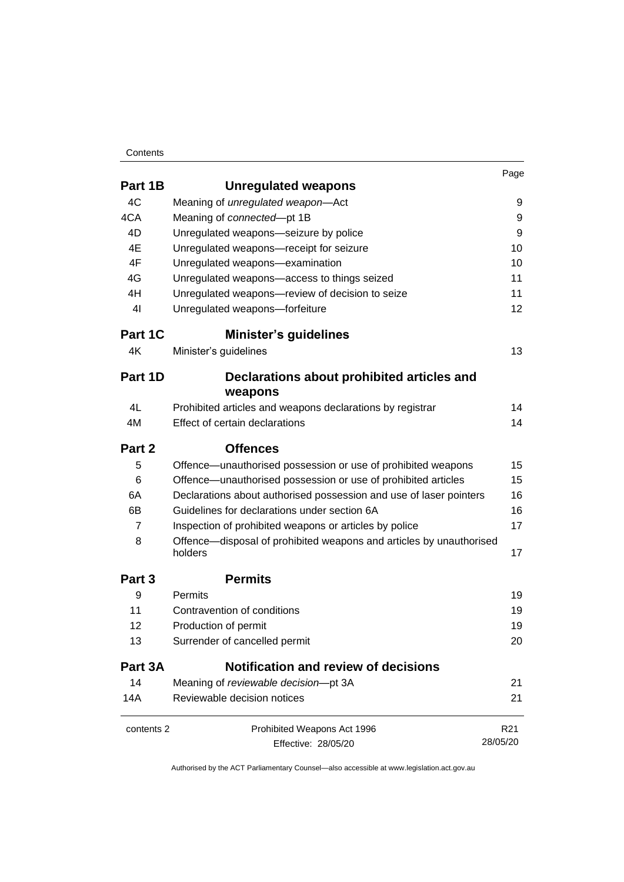#### **Contents**

|                |                                                                                | Page            |
|----------------|--------------------------------------------------------------------------------|-----------------|
| Part 1B        | <b>Unregulated weapons</b>                                                     |                 |
| 4C             | Meaning of unregulated weapon-Act                                              | 9               |
| 4CA            | Meaning of connected-pt 1B                                                     | 9               |
| 4D             | Unregulated weapons-seizure by police                                          | 9               |
| 4E             | Unregulated weapons-receipt for seizure                                        | 10              |
| 4F             | Unregulated weapons-examination                                                | 10              |
| 4G             | Unregulated weapons-access to things seized                                    | 11              |
| 4H             | Unregulated weapons-review of decision to seize                                | 11              |
| 41             | Unregulated weapons-forfeiture                                                 | 12 <sub>2</sub> |
| Part 1C        | <b>Minister's guidelines</b>                                                   |                 |
| 4K             | Minister's guidelines                                                          | 13              |
| Part 1D        | Declarations about prohibited articles and<br>weapons                          |                 |
| 4L             | Prohibited articles and weapons declarations by registrar                      | 14              |
| 4M             | Effect of certain declarations                                                 | 14              |
| Part 2         | <b>Offences</b>                                                                |                 |
| 5              | Offence—unauthorised possession or use of prohibited weapons                   | 15              |
| 6              | Offence—unauthorised possession or use of prohibited articles                  | 15              |
| 6A             | Declarations about authorised possession and use of laser pointers             | 16              |
| 6B             | Guidelines for declarations under section 6A                                   | 16              |
| $\overline{7}$ | Inspection of prohibited weapons or articles by police                         | 17              |
| 8              | Offence—disposal of prohibited weapons and articles by unauthorised<br>holders | 17              |
| Part 3         | <b>Permits</b>                                                                 |                 |
| 9              | <b>Permits</b>                                                                 | 19              |
| 11             | Contravention of conditions                                                    | 19              |
| 12             | Production of permit                                                           | 19              |
| 13             | Surrender of cancelled permit                                                  | 20              |
| Part 3A        | Notification and review of decisions                                           |                 |
| 14             | Meaning of reviewable decision-pt 3A                                           | 21              |
| 14A            | Reviewable decision notices                                                    | 21              |
| contents 2     | Prohibited Weapons Act 1996                                                    | R <sub>21</sub> |

Effective: 28/05/20

28/05/20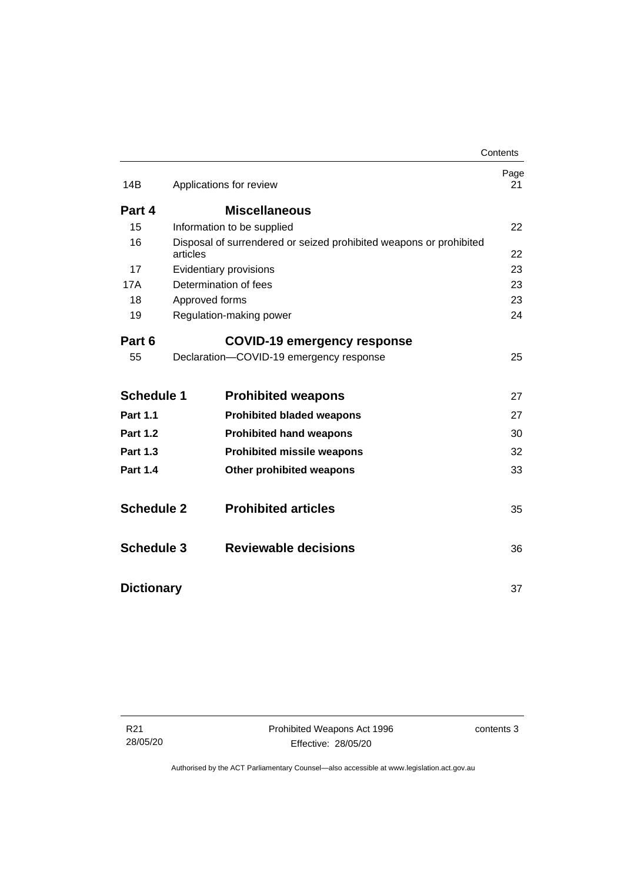|                   |                                                                                | Contents   |
|-------------------|--------------------------------------------------------------------------------|------------|
| 14B               | Applications for review                                                        | Page<br>21 |
| Part 4            | <b>Miscellaneous</b>                                                           |            |
| 15                | Information to be supplied                                                     | 22         |
| 16                | Disposal of surrendered or seized prohibited weapons or prohibited<br>articles | 22         |
| 17                | Evidentiary provisions                                                         | 23         |
| 17A               | Determination of fees                                                          | 23         |
| 18                | Approved forms                                                                 | 23         |
| 19                | Regulation-making power                                                        | 24         |
| Part 6            | <b>COVID-19 emergency response</b>                                             |            |
| 55                | Declaration-COVID-19 emergency response                                        | 25         |
| <b>Schedule 1</b> | <b>Prohibited weapons</b>                                                      | 27         |
| <b>Part 1.1</b>   | <b>Prohibited bladed weapons</b>                                               | 27         |
| <b>Part 1.2</b>   | <b>Prohibited hand weapons</b>                                                 | 30         |
| <b>Part 1.3</b>   | <b>Prohibited missile weapons</b>                                              | 32         |
| <b>Part 1.4</b>   | <b>Other prohibited weapons</b>                                                | 33         |
| <b>Schedule 2</b> | <b>Prohibited articles</b>                                                     | 35         |
| <b>Schedule 3</b> | Reviewable decisions                                                           | 36         |
| <b>Dictionary</b> |                                                                                | 37         |

R21 28/05/20 contents 3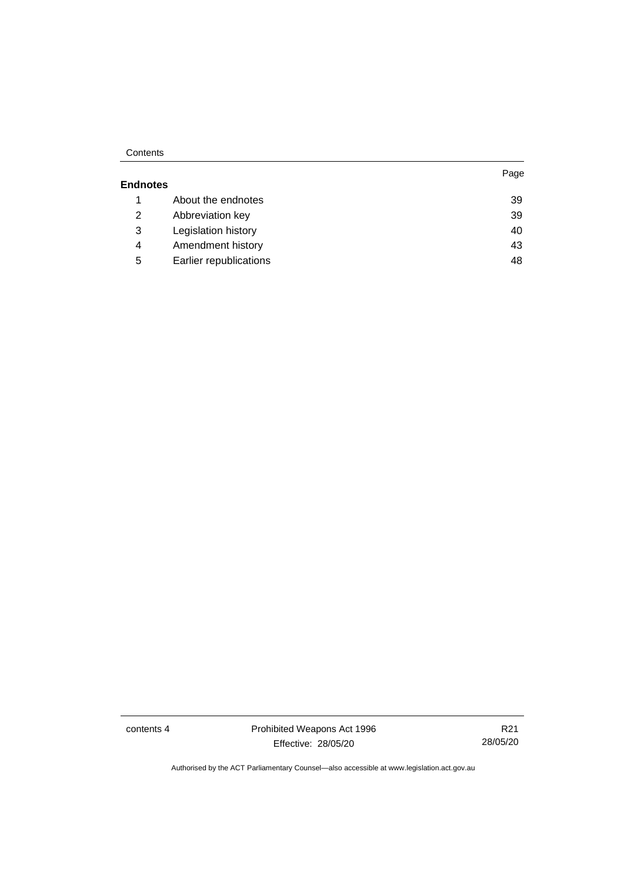#### **Contents**

|                 |                        | Page |
|-----------------|------------------------|------|
| <b>Endnotes</b> |                        |      |
| 1               | About the endnotes     | 39   |
| 2               | Abbreviation key       | 39   |
| 3               | Legislation history    | 40   |
| 4               | Amendment history      | 43   |
| 5               | Earlier republications | 48   |

contents 4 **Prohibited Weapons Act 1996** Effective: 28/05/20

R21 28/05/20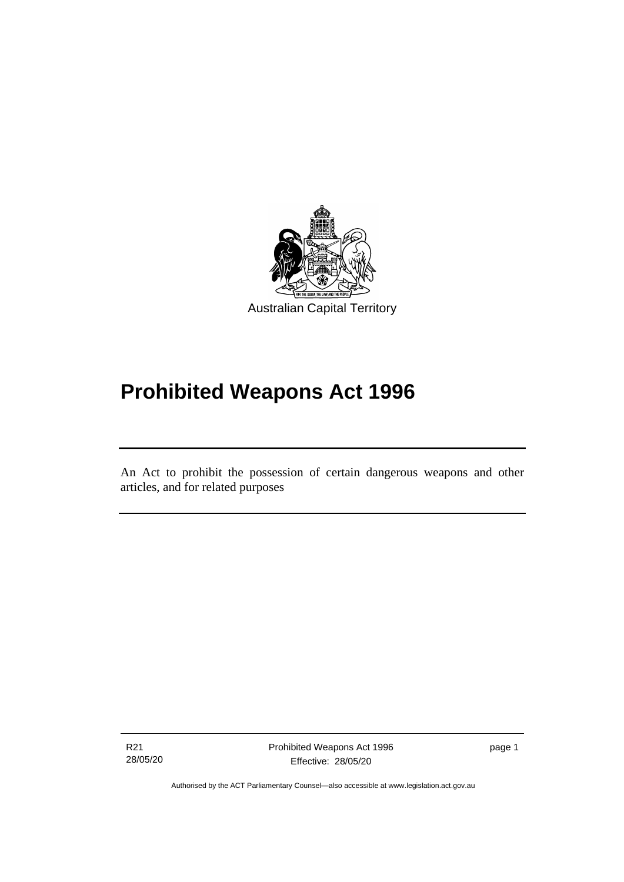

# **Prohibited Weapons Act 1996**

An Act to prohibit the possession of certain dangerous weapons and other articles, and for related purposes

R21 28/05/20

ׅ֖֖֚֚֡֡֬֝֬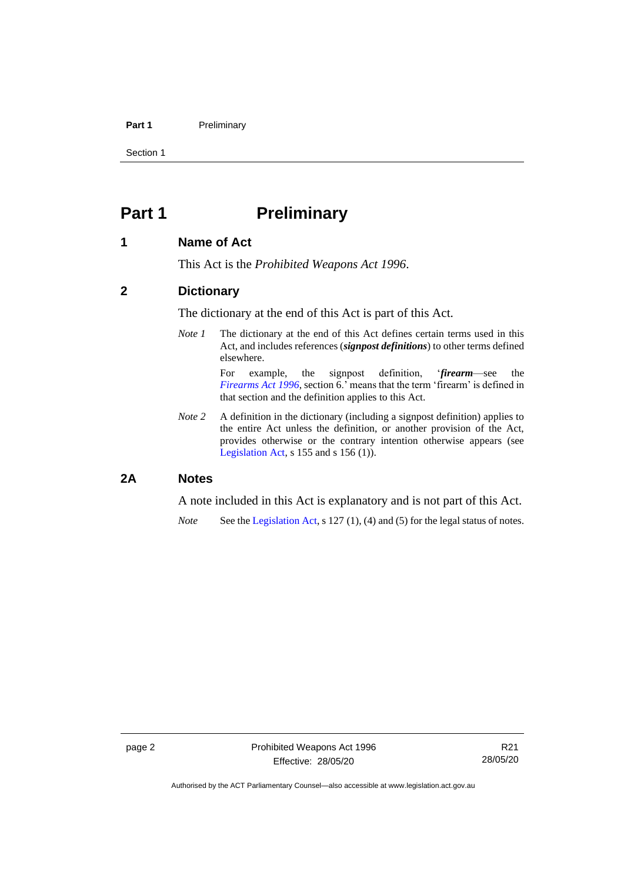#### **Part 1** Preliminary

Section 1

# <span id="page-7-0"></span>**Part 1 Preliminary**

## <span id="page-7-1"></span>**1 Name of Act**

This Act is the *Prohibited Weapons Act 1996*.

## <span id="page-7-2"></span>**2 Dictionary**

The dictionary at the end of this Act is part of this Act.

*Note 1* The dictionary at the end of this Act defines certain terms used in this Act, and includes references (*signpost definitions*) to other terms defined elsewhere.

> For example, the signpost definition, '*firearm*—see the *[Firearms](http://www.legislation.act.gov.au/a/1996-74) Act 1996*, section 6.' means that the term 'firearm' is defined in that section and the definition applies to this Act.

*Note* 2 A definition in the dictionary (including a signpost definition) applies to the entire Act unless the definition, or another provision of the Act, provides otherwise or the contrary intention otherwise appears (see [Legislation Act,](http://www.legislation.act.gov.au/a/2001-14)  $s$  155 and  $s$  156 (1)).

## <span id="page-7-3"></span>**2A Notes**

A note included in this Act is explanatory and is not part of this Act.

*Note* See the [Legislation Act,](http://www.legislation.act.gov.au/a/2001-14) s 127 (1), (4) and (5) for the legal status of notes.

Authorised by the ACT Parliamentary Counsel—also accessible at www.legislation.act.gov.au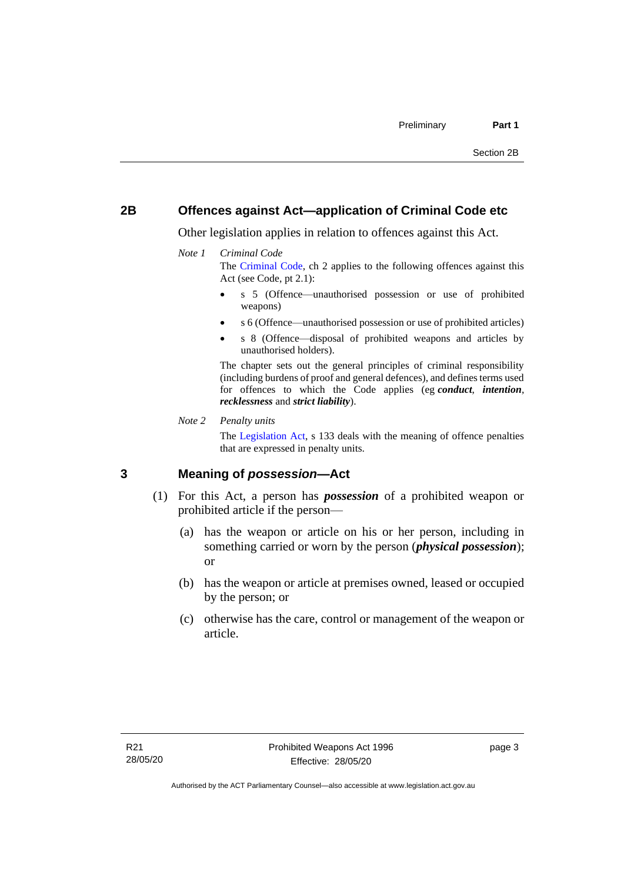## <span id="page-8-0"></span>**2B Offences against Act—application of Criminal Code etc**

Other legislation applies in relation to offences against this Act.

#### *Note 1 Criminal Code*

The [Criminal Code,](http://www.legislation.act.gov.au/a/2002-51) ch 2 applies to the following offences against this Act (see Code, pt 2.1):

- s 5 (Offence—unauthorised possession or use of prohibited weapons)
- s 6 (Offence—unauthorised possession or use of prohibited articles)
- s 8 (Offence—disposal of prohibited weapons and articles by unauthorised holders).

The chapter sets out the general principles of criminal responsibility (including burdens of proof and general defences), and defines terms used for offences to which the Code applies (eg *conduct*, *intention*, *recklessness* and *strict liability*).

#### *Note 2 Penalty units*

The [Legislation Act,](http://www.legislation.act.gov.au/a/2001-14) s 133 deals with the meaning of offence penalties that are expressed in penalty units.

## <span id="page-8-1"></span>**3 Meaning of** *possession***—Act**

- (1) For this Act, a person has *possession* of a prohibited weapon or prohibited article if the person—
	- (a) has the weapon or article on his or her person, including in something carried or worn by the person (*physical possession*); or
	- (b) has the weapon or article at premises owned, leased or occupied by the person; or
	- (c) otherwise has the care, control or management of the weapon or article.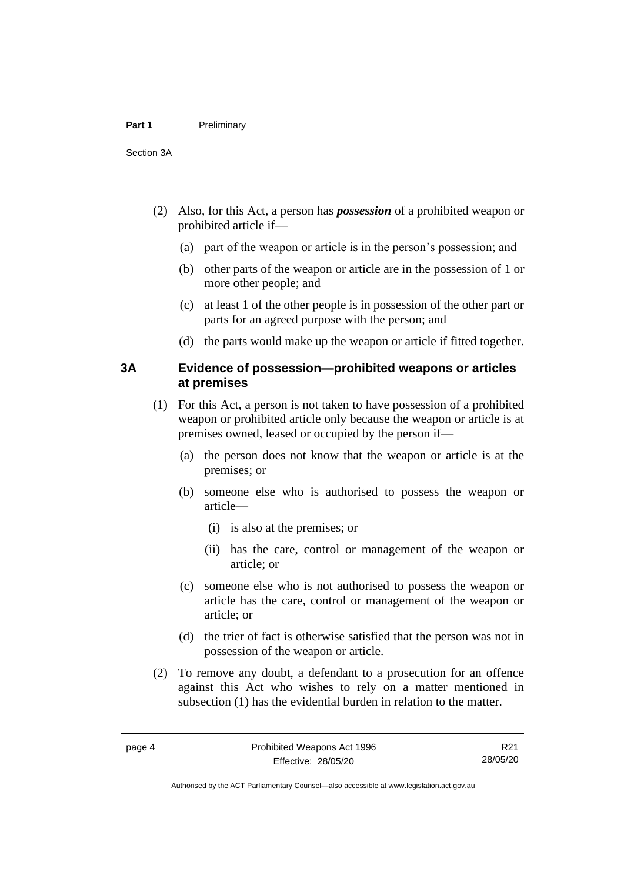- (2) Also, for this Act, a person has *possession* of a prohibited weapon or prohibited article if—
	- (a) part of the weapon or article is in the person's possession; and
	- (b) other parts of the weapon or article are in the possession of 1 or more other people; and
	- (c) at least 1 of the other people is in possession of the other part or parts for an agreed purpose with the person; and
	- (d) the parts would make up the weapon or article if fitted together.

### <span id="page-9-0"></span>**3A Evidence of possession—prohibited weapons or articles at premises**

- (1) For this Act, a person is not taken to have possession of a prohibited weapon or prohibited article only because the weapon or article is at premises owned, leased or occupied by the person if—
	- (a) the person does not know that the weapon or article is at the premises; or
	- (b) someone else who is authorised to possess the weapon or article—
		- (i) is also at the premises; or
		- (ii) has the care, control or management of the weapon or article; or
	- (c) someone else who is not authorised to possess the weapon or article has the care, control or management of the weapon or article; or
	- (d) the trier of fact is otherwise satisfied that the person was not in possession of the weapon or article.
- (2) To remove any doubt, a defendant to a prosecution for an offence against this Act who wishes to rely on a matter mentioned in subsection (1) has the evidential burden in relation to the matter.

Authorised by the ACT Parliamentary Counsel—also accessible at www.legislation.act.gov.au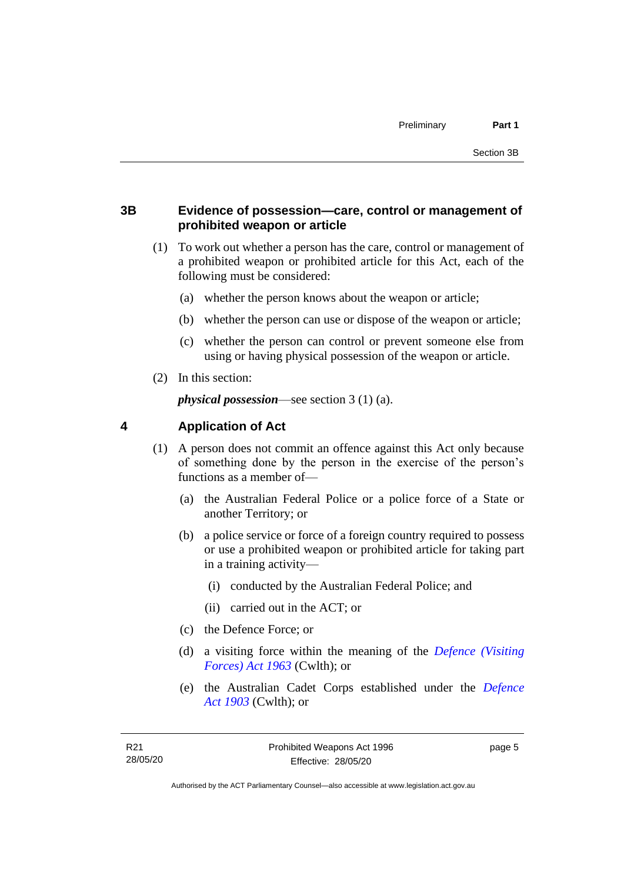## <span id="page-10-0"></span>**3B Evidence of possession—care, control or management of prohibited weapon or article**

- (1) To work out whether a person has the care, control or management of a prohibited weapon or prohibited article for this Act, each of the following must be considered:
	- (a) whether the person knows about the weapon or article;
	- (b) whether the person can use or dispose of the weapon or article;
	- (c) whether the person can control or prevent someone else from using or having physical possession of the weapon or article.
- (2) In this section:

*physical possession*—see section 3 (1) (a).

## <span id="page-10-1"></span>**4 Application of Act**

- (1) A person does not commit an offence against this Act only because of something done by the person in the exercise of the person's functions as a member of—
	- (a) the Australian Federal Police or a police force of a State or another Territory; or
	- (b) a police service or force of a foreign country required to possess or use a prohibited weapon or prohibited article for taking part in a training activity—
		- (i) conducted by the Australian Federal Police; and
		- (ii) carried out in the ACT; or
	- (c) the Defence Force; or
	- (d) a visiting force within the meaning of the *[Defence \(Visiting](http://www.comlaw.gov.au/Series/C1963A00081)  [Forces\) Act 1963](http://www.comlaw.gov.au/Series/C1963A00081)* (Cwlth); or
	- (e) the Australian Cadet Corps established under the *[Defence](http://www.comlaw.gov.au/Series/C1903A00020)  Act [1903](http://www.comlaw.gov.au/Series/C1903A00020)* (Cwlth); or

page 5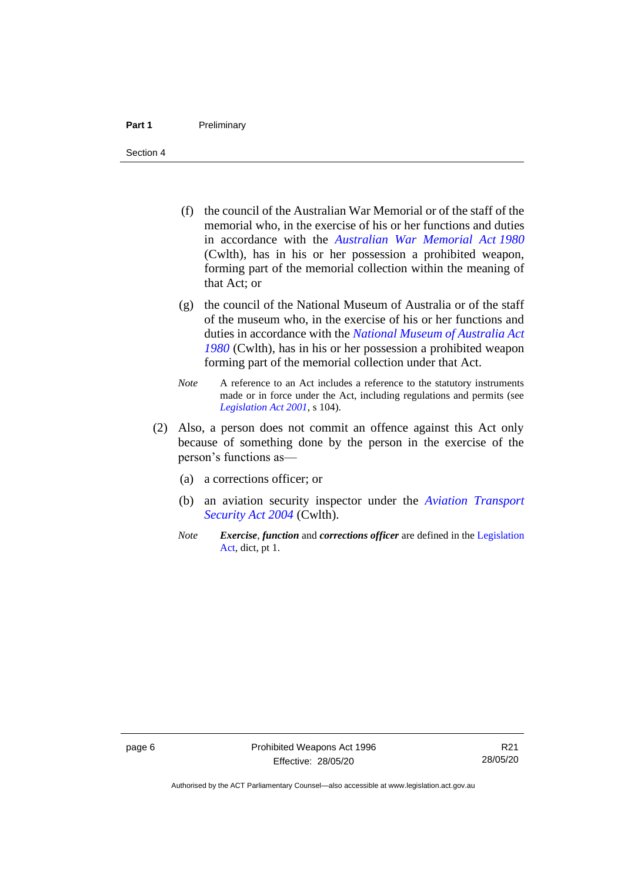#### **Part 1** Preliminary

Section 4

- (f) the council of the Australian War Memorial or of the staff of the memorial who, in the exercise of his or her functions and duties in accordance with the *[Australian War Memorial Act](http://www.comlaw.gov.au/Series/C2004A02305) 1980* (Cwlth), has in his or her possession a prohibited weapon, forming part of the memorial collection within the meaning of that Act; or
- (g) the council of the National Museum of Australia or of the staff of the museum who, in the exercise of his or her functions and duties in accordance with the *[National Museum of Australia Act](http://www.comlaw.gov.au/Series/C2004A02316)  [1980](http://www.comlaw.gov.au/Series/C2004A02316)* (Cwlth), has in his or her possession a prohibited weapon forming part of the memorial collection under that Act.
- *Note* A reference to an Act includes a reference to the statutory instruments made or in force under the Act, including regulations and permits (see *[Legislation Act 2001](http://www.legislation.act.gov.au/a/2001-14)*, s 104).
- (2) Also, a person does not commit an offence against this Act only because of something done by the person in the exercise of the person's functions as—
	- (a) a corrections officer; or
	- (b) an aviation security inspector under the *[Aviation Transport](https://www.legislation.gov.au/Series/C2004A01242)  [Security Act 2004](https://www.legislation.gov.au/Series/C2004A01242)* (Cwlth).
	- *Note Exercise*, *function* and *corrections officer* are defined in the [Legislation](http://www.legislation.act.gov.au/a/2001-14)  [Act,](http://www.legislation.act.gov.au/a/2001-14) dict, pt 1.

Authorised by the ACT Parliamentary Counsel—also accessible at www.legislation.act.gov.au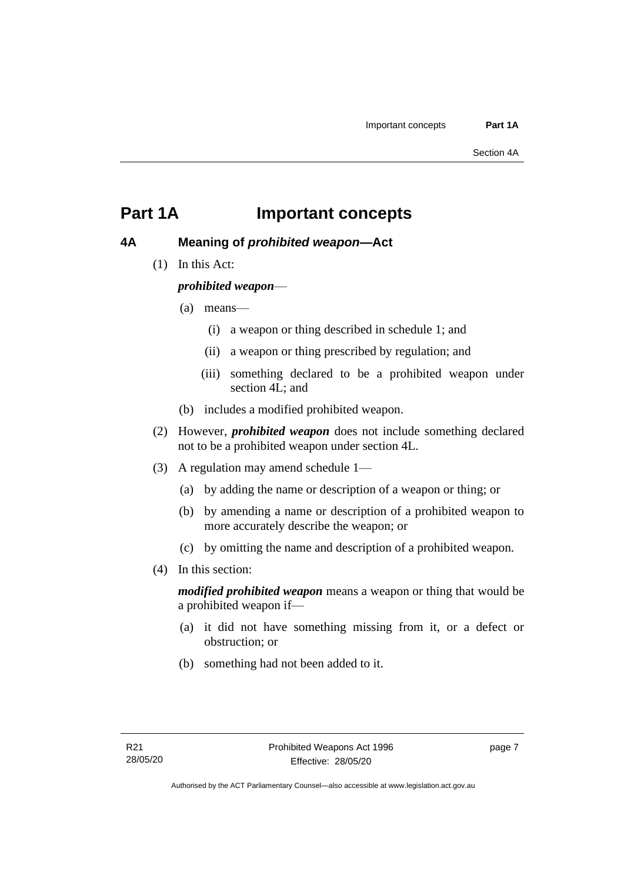## <span id="page-12-0"></span>**Part 1A Important concepts**

## <span id="page-12-1"></span>**4A Meaning of** *prohibited weapon***—Act**

(1) In this Act:

## *prohibited weapon*—

- (a) means—
	- (i) a weapon or thing described in schedule 1; and
	- (ii) a weapon or thing prescribed by regulation; and
	- (iii) something declared to be a prohibited weapon under section 4L; and
- (b) includes a modified prohibited weapon.
- (2) However, *prohibited weapon* does not include something declared not to be a prohibited weapon under section 4L.
- (3) A regulation may amend schedule 1—
	- (a) by adding the name or description of a weapon or thing; or
	- (b) by amending a name or description of a prohibited weapon to more accurately describe the weapon; or
	- (c) by omitting the name and description of a prohibited weapon.
- (4) In this section:

*modified prohibited weapon* means a weapon or thing that would be a prohibited weapon if—

- (a) it did not have something missing from it, or a defect or obstruction; or
- (b) something had not been added to it.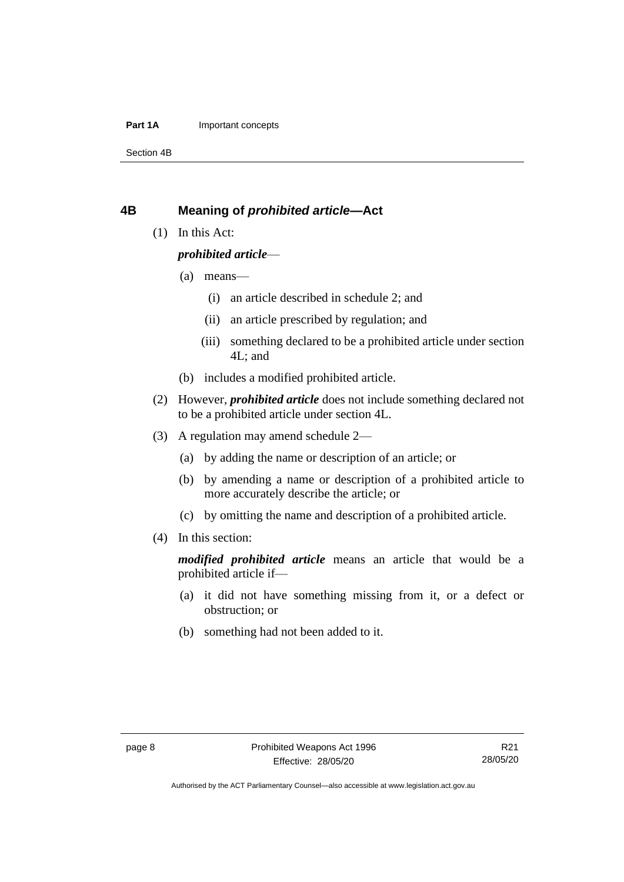#### **Part 1A** Important concepts

Section 4B

## <span id="page-13-0"></span>**4B Meaning of** *prohibited article***—Act**

(1) In this Act:

## *prohibited article*—

- (a) means—
	- (i) an article described in schedule 2; and
	- (ii) an article prescribed by regulation; and
	- (iii) something declared to be a prohibited article under section 4L; and
- (b) includes a modified prohibited article.
- (2) However, *prohibited article* does not include something declared not to be a prohibited article under section 4L.
- (3) A regulation may amend schedule 2—
	- (a) by adding the name or description of an article; or
	- (b) by amending a name or description of a prohibited article to more accurately describe the article; or
	- (c) by omitting the name and description of a prohibited article.
- (4) In this section:

*modified prohibited article* means an article that would be a prohibited article if—

- (a) it did not have something missing from it, or a defect or obstruction; or
- (b) something had not been added to it.

Authorised by the ACT Parliamentary Counsel—also accessible at www.legislation.act.gov.au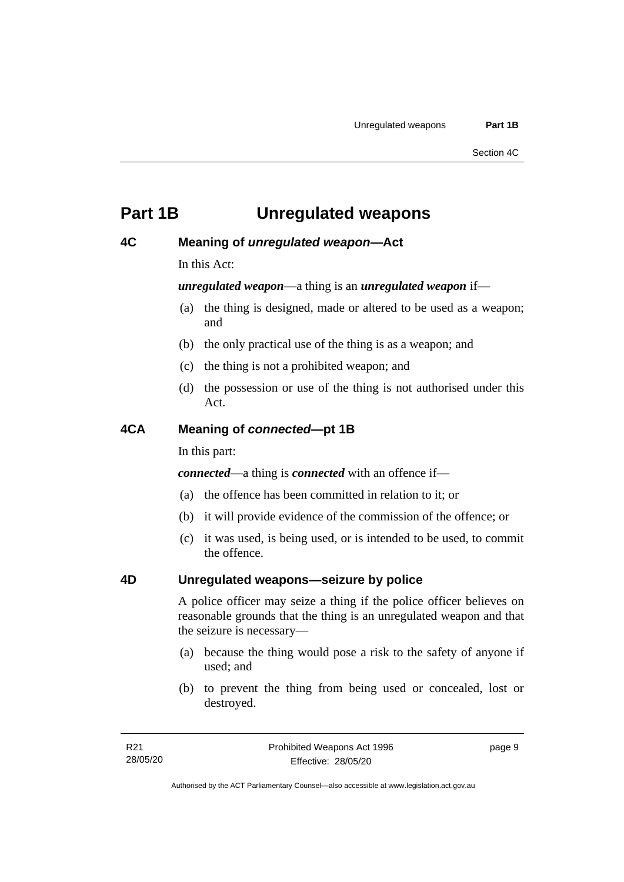## <span id="page-14-0"></span>**Part 1B Unregulated weapons**

## <span id="page-14-1"></span>**4C Meaning of** *unregulated weapon***—Act**

In this Act:

*unregulated weapon*—a thing is an *unregulated weapon* if—

- (a) the thing is designed, made or altered to be used as a weapon; and
- (b) the only practical use of the thing is as a weapon; and
- (c) the thing is not a prohibited weapon; and
- (d) the possession or use of the thing is not authorised under this Act.

## <span id="page-14-2"></span>**4CA Meaning of** *connected***—pt 1B**

In this part:

*connected*—a thing is *connected* with an offence if—

- (a) the offence has been committed in relation to it; or
- (b) it will provide evidence of the commission of the offence; or
- (c) it was used, is being used, or is intended to be used, to commit the offence.

## <span id="page-14-3"></span>**4D Unregulated weapons—seizure by police**

A police officer may seize a thing if the police officer believes on reasonable grounds that the thing is an unregulated weapon and that the seizure is necessary—

- (a) because the thing would pose a risk to the safety of anyone if used; and
- (b) to prevent the thing from being used or concealed, lost or destroyed.

page 9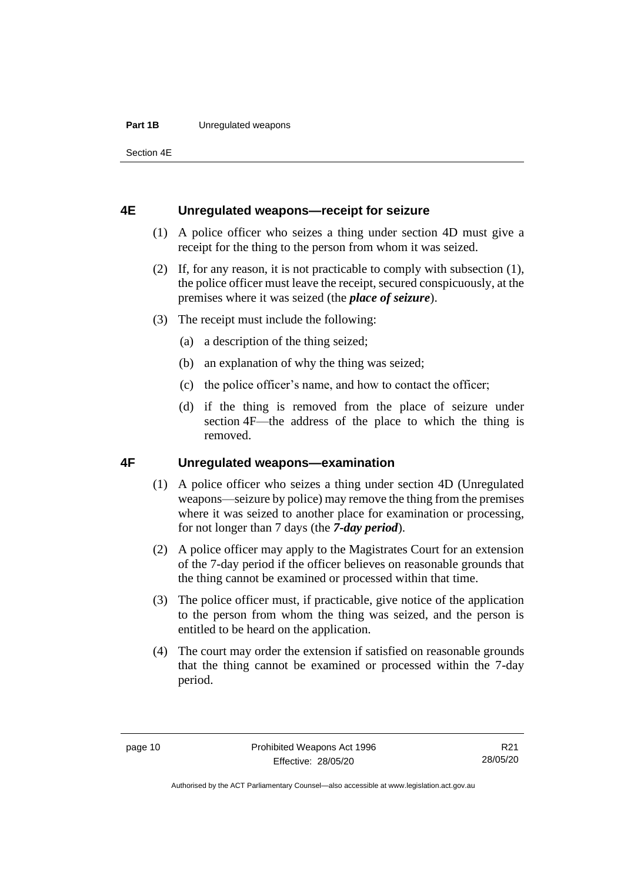#### **Part 1B** Unregulated weapons

Section 4E

### <span id="page-15-0"></span>**4E Unregulated weapons—receipt for seizure**

- (1) A police officer who seizes a thing under section 4D must give a receipt for the thing to the person from whom it was seized.
- (2) If, for any reason, it is not practicable to comply with subsection (1), the police officer must leave the receipt, secured conspicuously, at the premises where it was seized (the *place of seizure*).
- (3) The receipt must include the following:
	- (a) a description of the thing seized;
	- (b) an explanation of why the thing was seized;
	- (c) the police officer's name, and how to contact the officer;
	- (d) if the thing is removed from the place of seizure under section 4F—the address of the place to which the thing is removed.

## <span id="page-15-1"></span>**4F Unregulated weapons—examination**

- (1) A police officer who seizes a thing under section 4D (Unregulated weapons—seizure by police) may remove the thing from the premises where it was seized to another place for examination or processing, for not longer than 7 days (the *7-day period*).
- (2) A police officer may apply to the Magistrates Court for an extension of the 7-day period if the officer believes on reasonable grounds that the thing cannot be examined or processed within that time.
- (3) The police officer must, if practicable, give notice of the application to the person from whom the thing was seized, and the person is entitled to be heard on the application.
- (4) The court may order the extension if satisfied on reasonable grounds that the thing cannot be examined or processed within the 7-day period.

Authorised by the ACT Parliamentary Counsel—also accessible at www.legislation.act.gov.au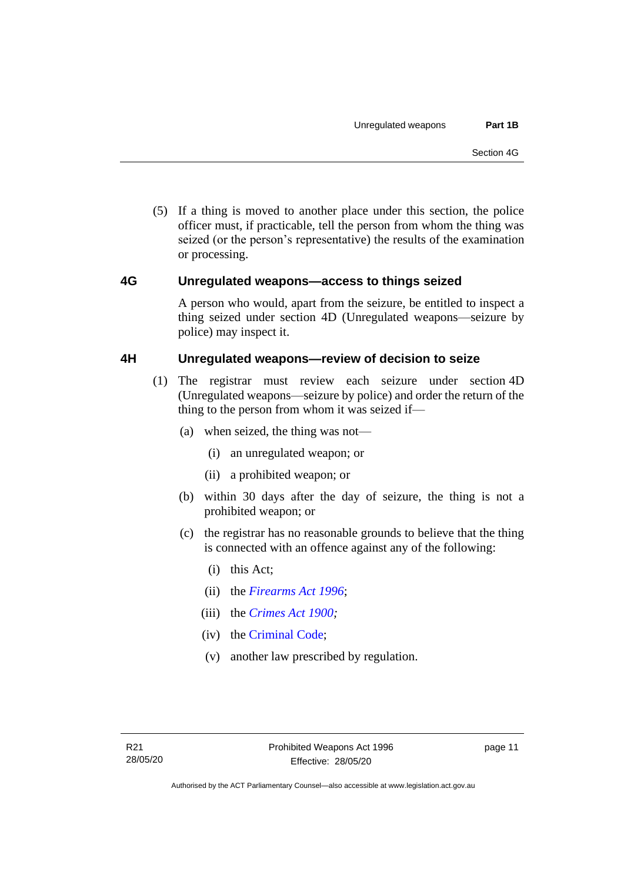(5) If a thing is moved to another place under this section, the police officer must, if practicable, tell the person from whom the thing was seized (or the person's representative) the results of the examination or processing.

## <span id="page-16-0"></span>**4G Unregulated weapons—access to things seized**

A person who would, apart from the seizure, be entitled to inspect a thing seized under section 4D (Unregulated weapons—seizure by police) may inspect it.

## <span id="page-16-1"></span>**4H Unregulated weapons—review of decision to seize**

- (1) The registrar must review each seizure under section 4D (Unregulated weapons—seizure by police) and order the return of the thing to the person from whom it was seized if—
	- (a) when seized, the thing was not—
		- (i) an unregulated weapon; or
		- (ii) a prohibited weapon; or
	- (b) within 30 days after the day of seizure, the thing is not a prohibited weapon; or
	- (c) the registrar has no reasonable grounds to believe that the thing is connected with an offence against any of the following:
		- (i) this Act;
		- (ii) the *[Firearms Act 1996](http://www.legislation.act.gov.au/a/1996-74)*;
		- (iii) the *[Crimes Act 1900;](http://www.legislation.act.gov.au/a/1900-40)*
		- (iv) the [Criminal Code;](http://www.legislation.act.gov.au/a/2002-51)
		- (v) another law prescribed by regulation.

page 11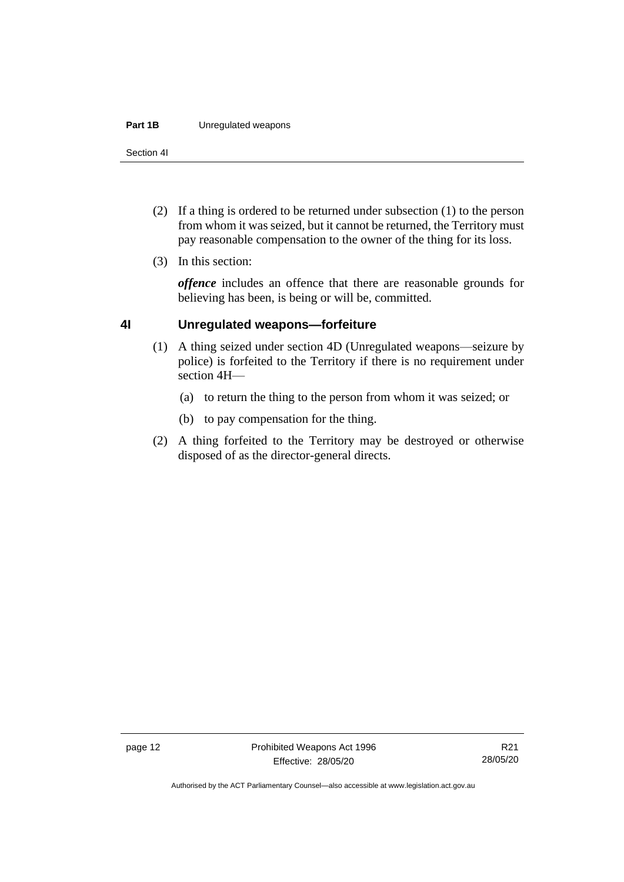#### **Part 1B** Unregulated weapons

Section 4I

- (2) If a thing is ordered to be returned under subsection (1) to the person from whom it was seized, but it cannot be returned, the Territory must pay reasonable compensation to the owner of the thing for its loss.
- (3) In this section:

*offence* includes an offence that there are reasonable grounds for believing has been, is being or will be, committed.

## <span id="page-17-0"></span>**4I Unregulated weapons—forfeiture**

- (1) A thing seized under section 4D (Unregulated weapons—seizure by police) is forfeited to the Territory if there is no requirement under section 4H—
	- (a) to return the thing to the person from whom it was seized; or
	- (b) to pay compensation for the thing.
- (2) A thing forfeited to the Territory may be destroyed or otherwise disposed of as the director-general directs.

Authorised by the ACT Parliamentary Counsel—also accessible at www.legislation.act.gov.au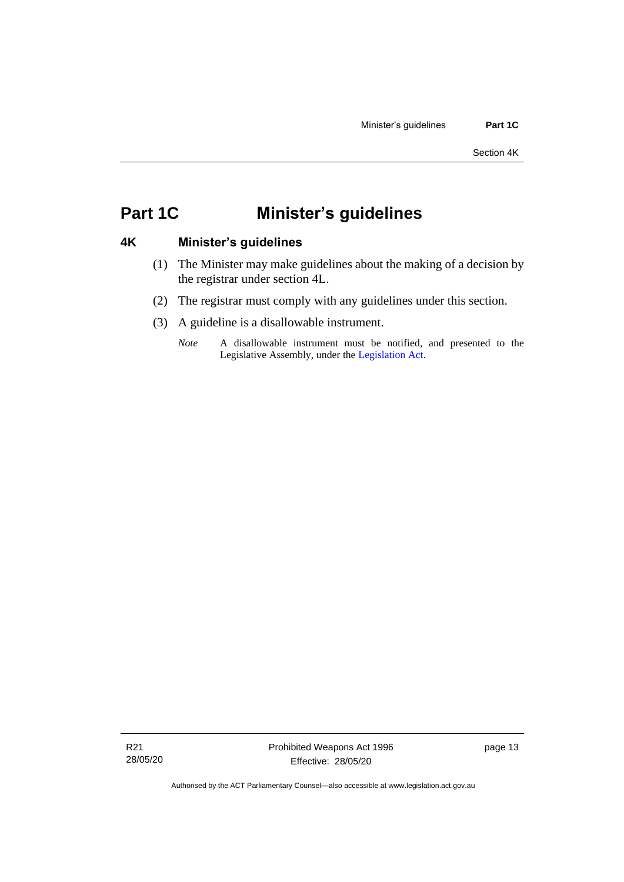## <span id="page-18-0"></span>**Part 1C Minister's guidelines**

## <span id="page-18-1"></span>**4K Minister's guidelines**

- (1) The Minister may make guidelines about the making of a decision by the registrar under section 4L.
- (2) The registrar must comply with any guidelines under this section.
- (3) A guideline is a disallowable instrument.
	- *Note* A disallowable instrument must be notified, and presented to the Legislative Assembly, under the [Legislation Act.](http://www.legislation.act.gov.au/a/2001-14)

page 13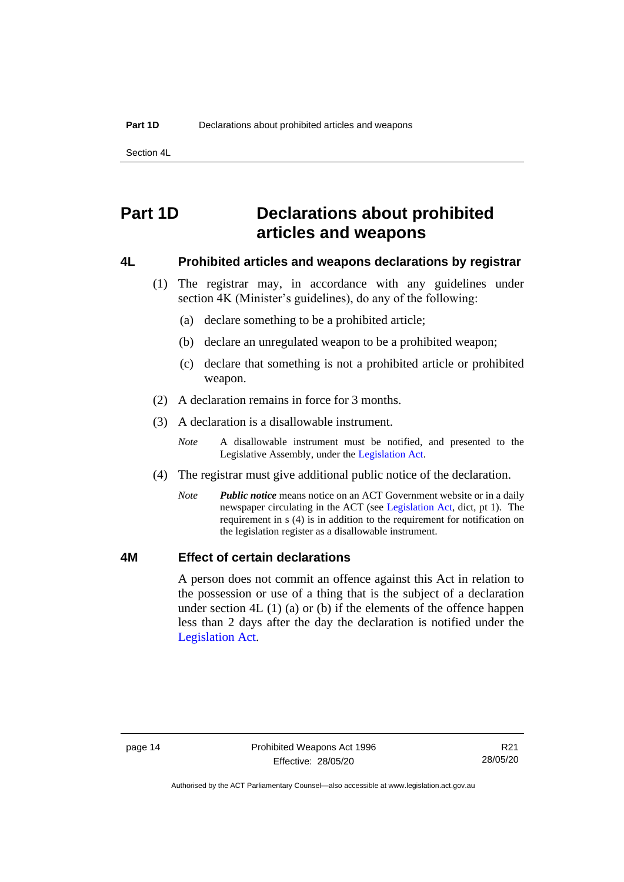Section 4L

## <span id="page-19-0"></span>**Part 1D Declarations about prohibited articles and weapons**

### <span id="page-19-1"></span>**4L Prohibited articles and weapons declarations by registrar**

- (1) The registrar may, in accordance with any guidelines under section 4K (Minister's guidelines), do any of the following:
	- (a) declare something to be a prohibited article;
	- (b) declare an unregulated weapon to be a prohibited weapon;
	- (c) declare that something is not a prohibited article or prohibited weapon.
- (2) A declaration remains in force for 3 months.
- (3) A declaration is a disallowable instrument.
	- *Note* A disallowable instrument must be notified, and presented to the Legislative Assembly, under the [Legislation Act.](http://www.legislation.act.gov.au/a/2001-14)
- (4) The registrar must give additional public notice of the declaration.
	- *Note Public notice* means notice on an ACT Government website or in a daily newspaper circulating in the ACT (see [Legislation Act,](http://www.legislation.act.gov.au/a/2001-14) dict, pt 1). The requirement in s (4) is in addition to the requirement for notification on the legislation register as a disallowable instrument.

## <span id="page-19-2"></span>**4M Effect of certain declarations**

A person does not commit an offence against this Act in relation to the possession or use of a thing that is the subject of a declaration under section 4L (1) (a) or (b) if the elements of the offence happen less than 2 days after the day the declaration is notified under the [Legislation Act.](http://www.legislation.act.gov.au/a/2001-14)

R21 28/05/20

Authorised by the ACT Parliamentary Counsel—also accessible at www.legislation.act.gov.au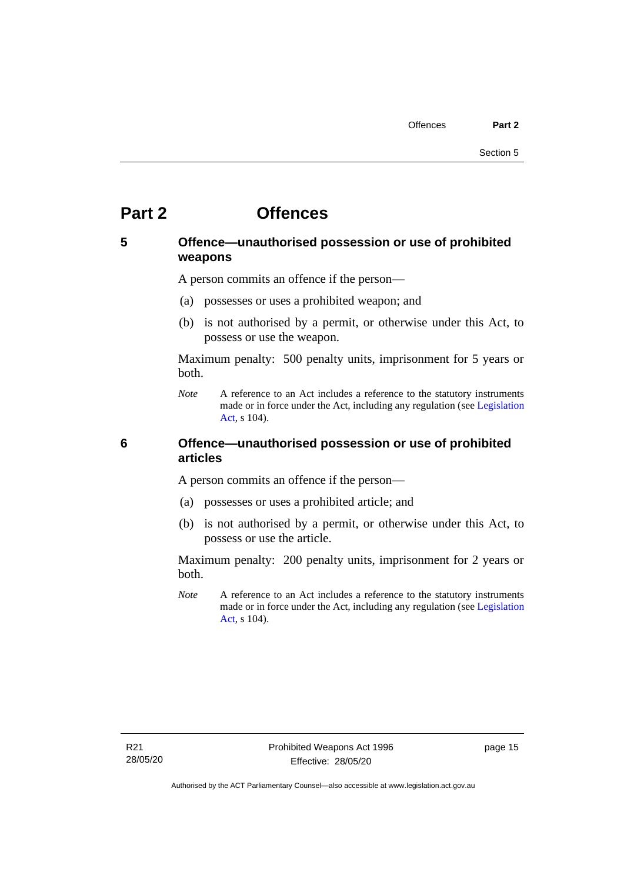# <span id="page-20-0"></span>**Part 2 Offences**

## <span id="page-20-1"></span>**5 Offence—unauthorised possession or use of prohibited weapons**

A person commits an offence if the person—

- (a) possesses or uses a prohibited weapon; and
- (b) is not authorised by a permit, or otherwise under this Act, to possess or use the weapon.

Maximum penalty: 500 penalty units, imprisonment for 5 years or both.

*Note* A reference to an Act includes a reference to the statutory instruments made or in force under the Act, including any regulation (se[e Legislation](http://www.legislation.act.gov.au/a/2001-14)  [Act,](http://www.legislation.act.gov.au/a/2001-14) s 104).

## <span id="page-20-2"></span>**6 Offence—unauthorised possession or use of prohibited articles**

A person commits an offence if the person—

- (a) possesses or uses a prohibited article; and
- (b) is not authorised by a permit, or otherwise under this Act, to possess or use the article.

Maximum penalty: 200 penalty units, imprisonment for 2 years or both.

*Note* A reference to an Act includes a reference to the statutory instruments made or in force under the Act, including any regulation (se[e Legislation](http://www.legislation.act.gov.au/a/2001-14)  [Act,](http://www.legislation.act.gov.au/a/2001-14) s 104).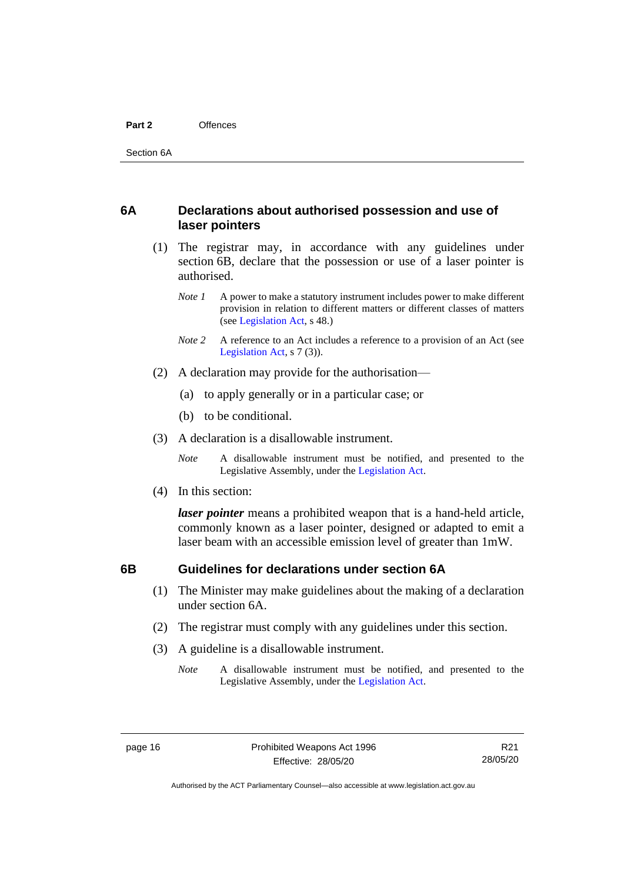#### **Part 2** Offences

## <span id="page-21-0"></span>**6A Declarations about authorised possession and use of laser pointers**

- (1) The registrar may, in accordance with any guidelines under section 6B, declare that the possession or use of a laser pointer is authorised.
	- *Note 1* A power to make a statutory instrument includes power to make different provision in relation to different matters or different classes of matters (se[e Legislation Act,](http://www.legislation.act.gov.au/a/2001-14) s 48.)
	- *Note 2* A reference to an Act includes a reference to a provision of an Act (see [Legislation Act,](http://www.legislation.act.gov.au/a/2001-14) s 7 (3)).
- (2) A declaration may provide for the authorisation—
	- (a) to apply generally or in a particular case; or
	- (b) to be conditional.
- (3) A declaration is a disallowable instrument.

*Note* A disallowable instrument must be notified, and presented to the Legislative Assembly, under the [Legislation Act.](http://www.legislation.act.gov.au/a/2001-14)

(4) In this section:

*laser pointer* means a prohibited weapon that is a hand-held article, commonly known as a laser pointer, designed or adapted to emit a laser beam with an accessible emission level of greater than 1mW.

### <span id="page-21-1"></span>**6B Guidelines for declarations under section 6A**

- (1) The Minister may make guidelines about the making of a declaration under section 6A.
- (2) The registrar must comply with any guidelines under this section.
- (3) A guideline is a disallowable instrument.
	- *Note* A disallowable instrument must be notified, and presented to the Legislative Assembly, under the [Legislation Act.](http://www.legislation.act.gov.au/a/2001-14)

Authorised by the ACT Parliamentary Counsel—also accessible at www.legislation.act.gov.au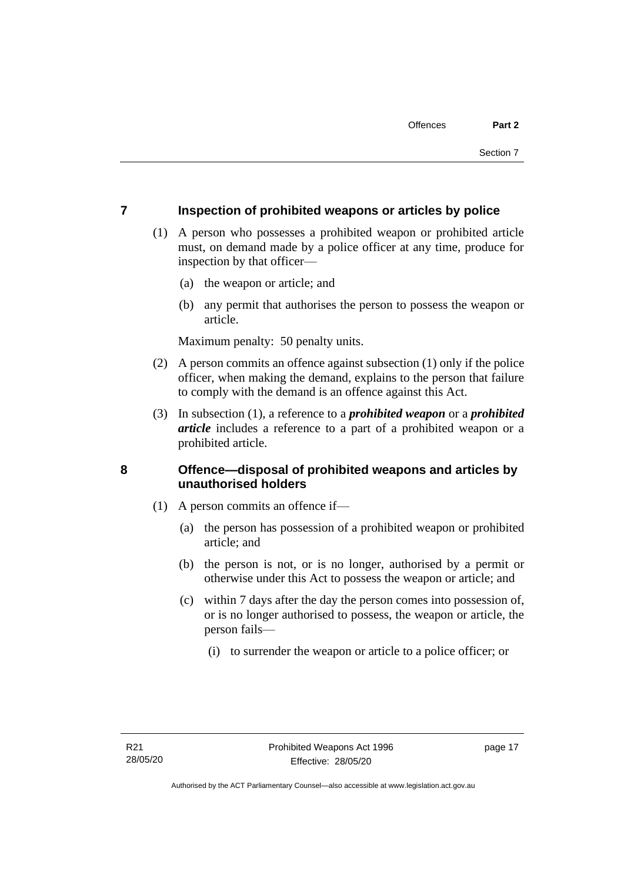## <span id="page-22-0"></span>**7 Inspection of prohibited weapons or articles by police**

- (1) A person who possesses a prohibited weapon or prohibited article must, on demand made by a police officer at any time, produce for inspection by that officer—
	- (a) the weapon or article; and
	- (b) any permit that authorises the person to possess the weapon or article.

Maximum penalty: 50 penalty units.

- (2) A person commits an offence against subsection (1) only if the police officer, when making the demand, explains to the person that failure to comply with the demand is an offence against this Act.
- (3) In subsection (1), a reference to a *prohibited weapon* or a *prohibited article* includes a reference to a part of a prohibited weapon or a prohibited article.

## <span id="page-22-1"></span>**8 Offence—disposal of prohibited weapons and articles by unauthorised holders**

- (1) A person commits an offence if—
	- (a) the person has possession of a prohibited weapon or prohibited article; and
	- (b) the person is not, or is no longer, authorised by a permit or otherwise under this Act to possess the weapon or article; and
	- (c) within 7 days after the day the person comes into possession of, or is no longer authorised to possess, the weapon or article, the person fails—
		- (i) to surrender the weapon or article to a police officer; or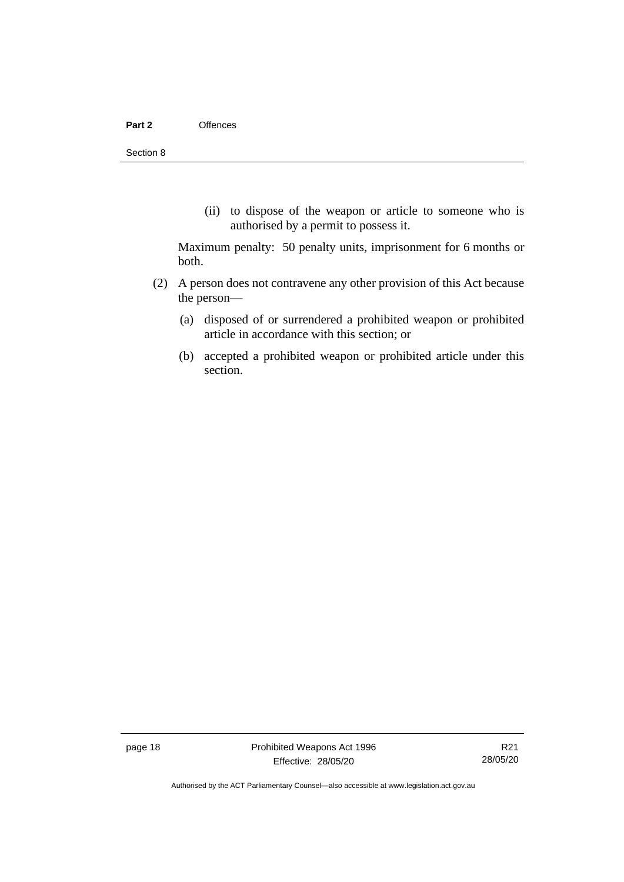(ii) to dispose of the weapon or article to someone who is authorised by a permit to possess it.

Maximum penalty: 50 penalty units, imprisonment for 6 months or both.

- (2) A person does not contravene any other provision of this Act because the person—
	- (a) disposed of or surrendered a prohibited weapon or prohibited article in accordance with this section; or
	- (b) accepted a prohibited weapon or prohibited article under this section.

page 18 Prohibited Weapons Act 1996 Effective: 28/05/20

R21 28/05/20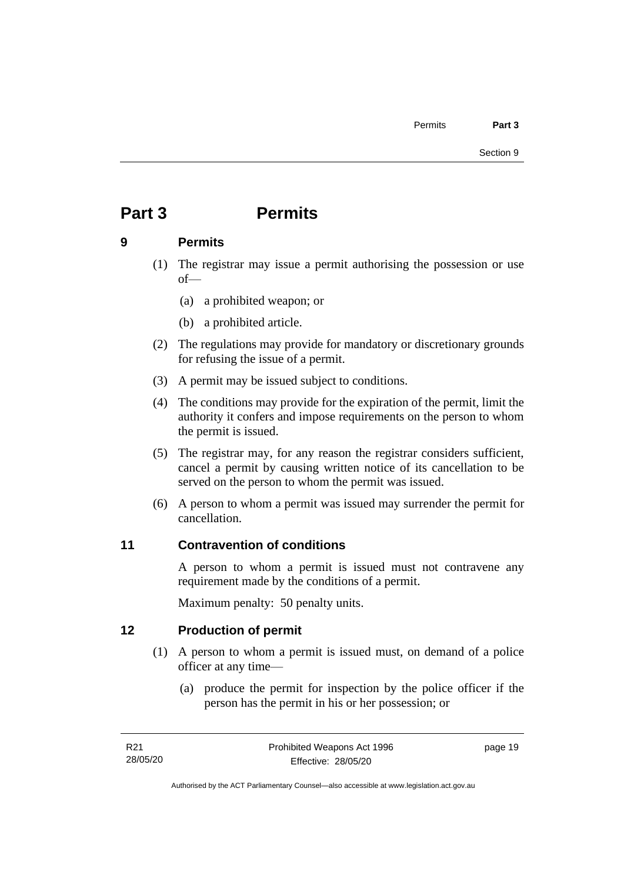# <span id="page-24-0"></span>**Part 3 Permits**

## <span id="page-24-1"></span>**9 Permits**

- (1) The registrar may issue a permit authorising the possession or use of—
	- (a) a prohibited weapon; or
	- (b) a prohibited article.
- (2) The regulations may provide for mandatory or discretionary grounds for refusing the issue of a permit.
- (3) A permit may be issued subject to conditions.
- (4) The conditions may provide for the expiration of the permit, limit the authority it confers and impose requirements on the person to whom the permit is issued.
- (5) The registrar may, for any reason the registrar considers sufficient, cancel a permit by causing written notice of its cancellation to be served on the person to whom the permit was issued.
- (6) A person to whom a permit was issued may surrender the permit for cancellation.

## <span id="page-24-2"></span>**11 Contravention of conditions**

A person to whom a permit is issued must not contravene any requirement made by the conditions of a permit.

Maximum penalty: 50 penalty units.

## <span id="page-24-3"></span>**12 Production of permit**

- (1) A person to whom a permit is issued must, on demand of a police officer at any time—
	- (a) produce the permit for inspection by the police officer if the person has the permit in his or her possession; or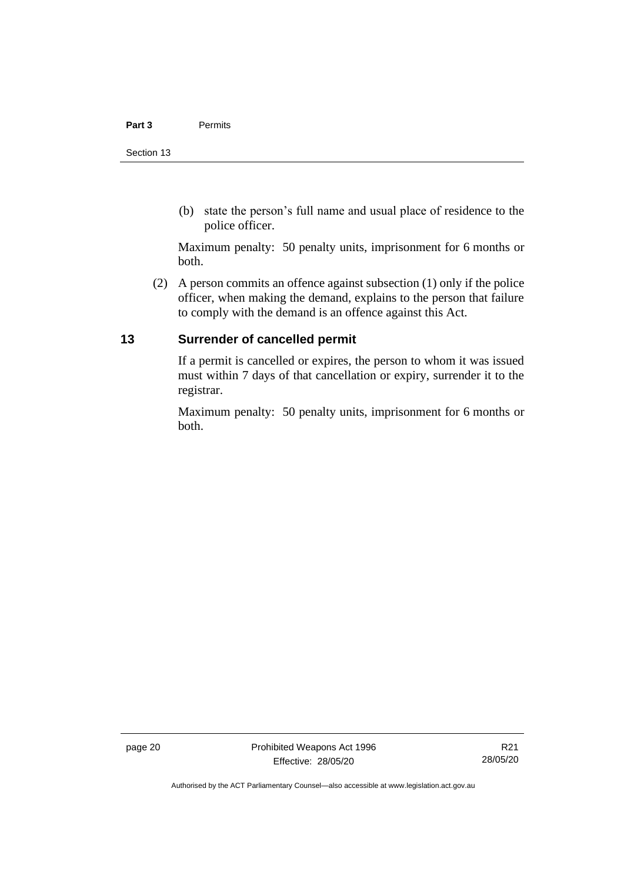#### **Part 3** Permits

(b) state the person's full name and usual place of residence to the police officer.

Maximum penalty: 50 penalty units, imprisonment for 6 months or both.

(2) A person commits an offence against subsection (1) only if the police officer, when making the demand, explains to the person that failure to comply with the demand is an offence against this Act.

## <span id="page-25-0"></span>**13 Surrender of cancelled permit**

If a permit is cancelled or expires, the person to whom it was issued must within 7 days of that cancellation or expiry, surrender it to the registrar.

Maximum penalty: 50 penalty units, imprisonment for 6 months or both.

Authorised by the ACT Parliamentary Counsel—also accessible at www.legislation.act.gov.au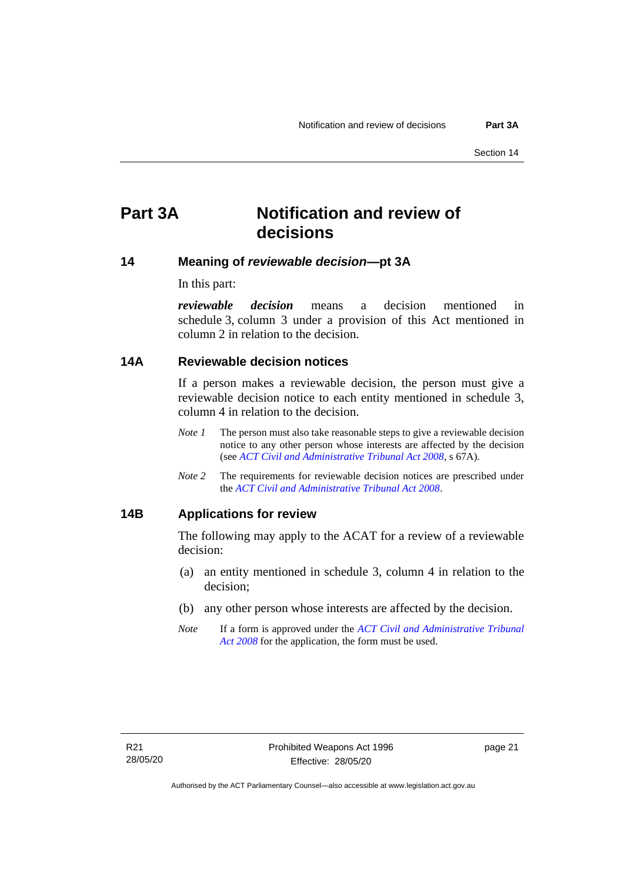# <span id="page-26-0"></span>**Part 3A Notification and review of decisions**

## <span id="page-26-1"></span>**14 Meaning of** *reviewable decision—***pt 3A**

In this part:

*reviewable decision* means a decision mentioned in schedule 3, column 3 under a provision of this Act mentioned in column 2 in relation to the decision.

## <span id="page-26-2"></span>**14A Reviewable decision notices**

If a person makes a reviewable decision, the person must give a reviewable decision notice to each entity mentioned in schedule 3, column 4 in relation to the decision.

- *Note* 1 The person must also take reasonable steps to give a reviewable decision notice to any other person whose interests are affected by the decision (see *[ACT Civil and Administrative Tribunal Act 2008](http://www.legislation.act.gov.au/a/2008-35)*, s 67A).
- *Note* 2 The requirements for reviewable decision notices are prescribed under the *[ACT Civil and Administrative Tribunal Act 2008](http://www.legislation.act.gov.au/a/2008-35)*.

## <span id="page-26-3"></span>**14B Applications for review**

The following may apply to the ACAT for a review of a reviewable decision:

- (a) an entity mentioned in schedule 3, column 4 in relation to the decision;
- (b) any other person whose interests are affected by the decision.
- *Note* If a form is approved under the *[ACT Civil and Administrative Tribunal](http://www.legislation.act.gov.au/a/2008-35)  [Act 2008](http://www.legislation.act.gov.au/a/2008-35)* for the application, the form must be used.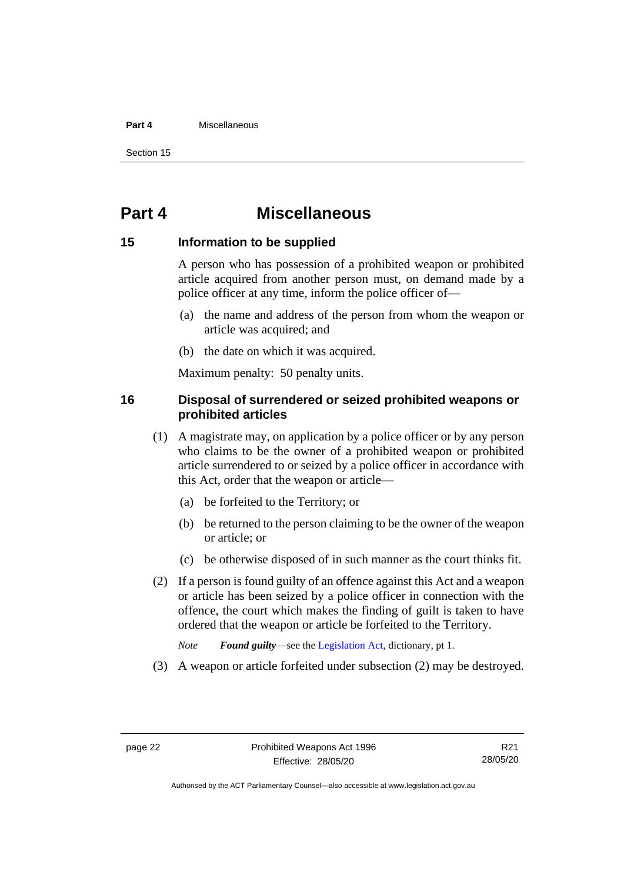#### **Part 4** Miscellaneous

Section 15

## <span id="page-27-0"></span>**Part 4 Miscellaneous**

### <span id="page-27-1"></span>**15 Information to be supplied**

A person who has possession of a prohibited weapon or prohibited article acquired from another person must, on demand made by a police officer at any time, inform the police officer of—

- (a) the name and address of the person from whom the weapon or article was acquired; and
- (b) the date on which it was acquired.

Maximum penalty: 50 penalty units.

## <span id="page-27-2"></span>**16 Disposal of surrendered or seized prohibited weapons or prohibited articles**

- (1) A magistrate may, on application by a police officer or by any person who claims to be the owner of a prohibited weapon or prohibited article surrendered to or seized by a police officer in accordance with this Act, order that the weapon or article—
	- (a) be forfeited to the Territory; or
	- (b) be returned to the person claiming to be the owner of the weapon or article; or
	- (c) be otherwise disposed of in such manner as the court thinks fit.
- (2) If a person is found guilty of an offence against this Act and a weapon or article has been seized by a police officer in connection with the offence, the court which makes the finding of guilt is taken to have ordered that the weapon or article be forfeited to the Territory.
	- *Note Found guilty*—see th[e Legislation Act,](http://www.legislation.act.gov.au/a/2001-14) dictionary, pt 1.
- (3) A weapon or article forfeited under subsection (2) may be destroyed.

Authorised by the ACT Parliamentary Counsel—also accessible at www.legislation.act.gov.au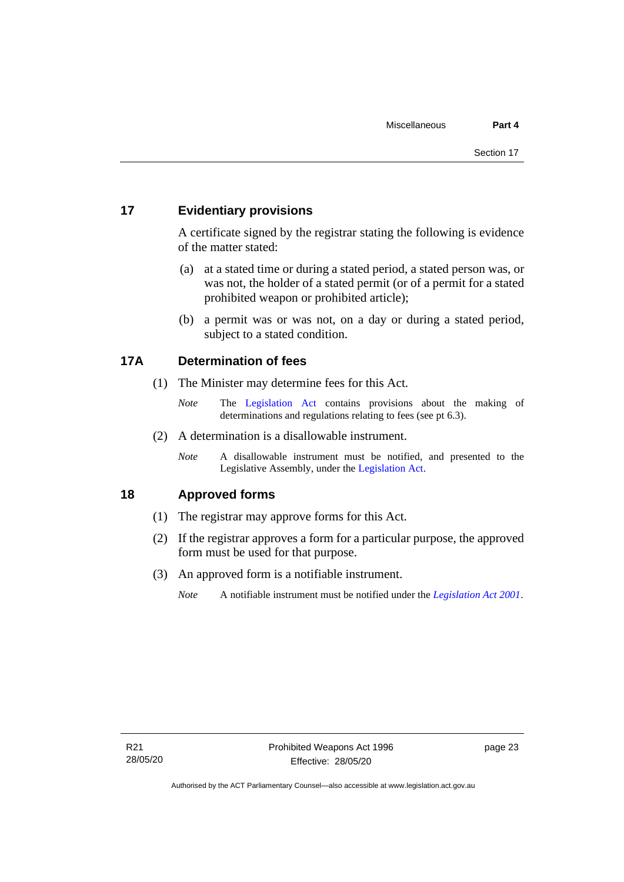## <span id="page-28-0"></span>**17 Evidentiary provisions**

A certificate signed by the registrar stating the following is evidence of the matter stated:

- (a) at a stated time or during a stated period, a stated person was, or was not, the holder of a stated permit (or of a permit for a stated prohibited weapon or prohibited article);
- (b) a permit was or was not, on a day or during a stated period, subject to a stated condition.

## <span id="page-28-1"></span>**17A Determination of fees**

- (1) The Minister may determine fees for this Act.
	- *Note* The [Legislation Act](http://www.legislation.act.gov.au/a/2001-14) contains provisions about the making of determinations and regulations relating to fees (see pt 6.3).
- (2) A determination is a disallowable instrument.
	- *Note* A disallowable instrument must be notified, and presented to the Legislative Assembly, under the [Legislation Act.](http://www.legislation.act.gov.au/a/2001-14)

## <span id="page-28-2"></span>**18 Approved forms**

- (1) The registrar may approve forms for this Act.
- (2) If the registrar approves a form for a particular purpose, the approved form must be used for that purpose.
- (3) An approved form is a notifiable instrument.
	- *Note* A notifiable instrument must be notified under the *[Legislation Act 2001](http://www.legislation.act.gov.au/a/2001-14)*.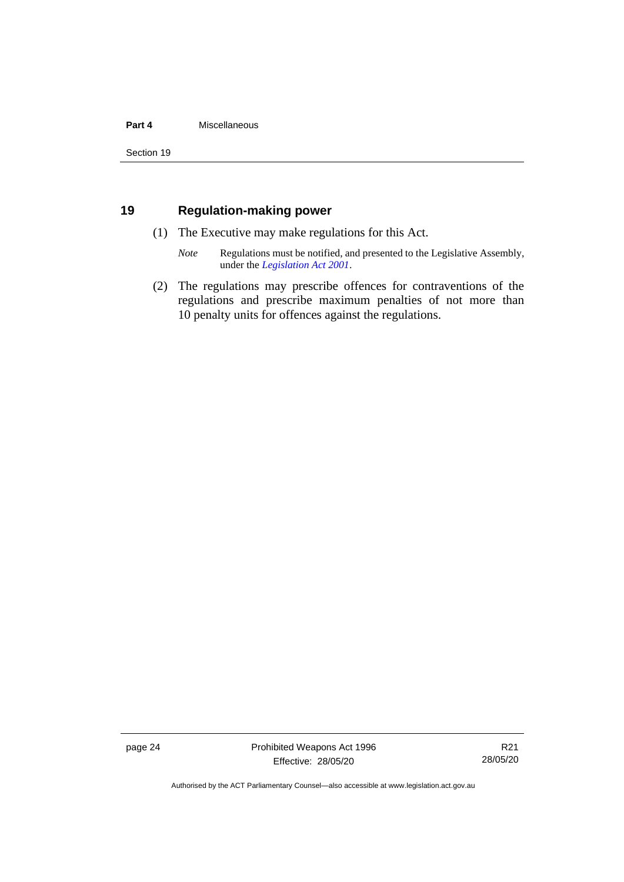#### **Part 4** Miscellaneous

Section 19

## <span id="page-29-0"></span>**19 Regulation-making power**

- (1) The Executive may make regulations for this Act.
	- *Note* Regulations must be notified, and presented to the Legislative Assembly, under the *[Legislation Act 2001](http://www.legislation.act.gov.au/a/2001-14)*.
- (2) The regulations may prescribe offences for contraventions of the regulations and prescribe maximum penalties of not more than 10 penalty units for offences against the regulations.

page 24 Prohibited Weapons Act 1996 Effective: 28/05/20

R21 28/05/20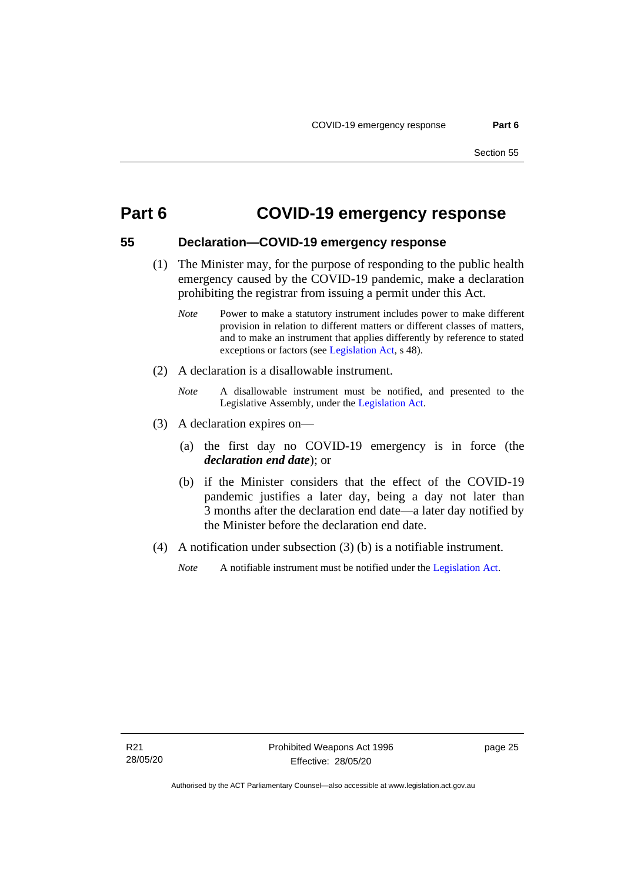## <span id="page-30-0"></span>**Part 6 COVID-19 emergency response**

# <span id="page-30-1"></span>**55 Declaration—COVID-19 emergency response**

- (1) The Minister may, for the purpose of responding to the public health emergency caused by the COVID-19 pandemic, make a declaration prohibiting the registrar from issuing a permit under this Act.
	- *Note* Power to make a statutory instrument includes power to make different provision in relation to different matters or different classes of matters, and to make an instrument that applies differently by reference to stated exceptions or factors (see [Legislation Act,](http://www.legislation.act.gov.au/a/2001-14) s 48).
- (2) A declaration is a disallowable instrument.
	- *Note* A disallowable instrument must be notified, and presented to the Legislative Assembly, under the [Legislation Act.](http://www.legislation.act.gov.au/a/2001-14)
- (3) A declaration expires on—
	- (a) the first day no COVID-19 emergency is in force (the *declaration end date*); or
	- (b) if the Minister considers that the effect of the COVID-19 pandemic justifies a later day, being a day not later than 3 months after the declaration end date—a later day notified by the Minister before the declaration end date.
- (4) A notification under subsection (3) (b) is a notifiable instrument.
	- *Note* A notifiable instrument must be notified under the [Legislation Act.](http://www.legislation.act.gov.au/a/2001-14)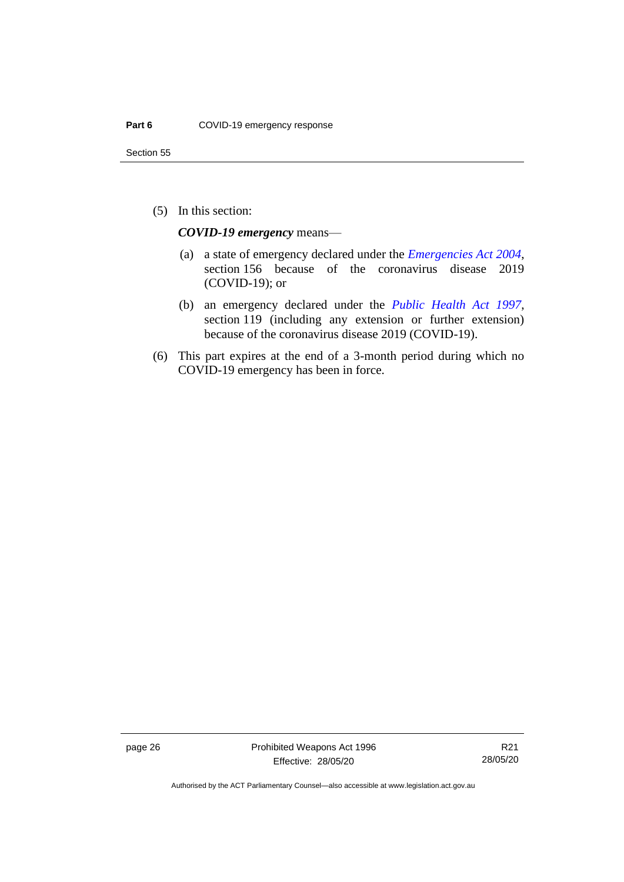(5) In this section:

*COVID-19 emergency* means—

- (a) a state of emergency declared under the *[Emergencies Act](http://www.legislation.act.gov.au/a/2004-28) 2004*, section 156 because of the coronavirus disease 2019 (COVID-19); or
- (b) an emergency declared under the *[Public Health Act 1997](http://www.legislation.act.gov.au/a/1997-69)*, section 119 (including any extension or further extension) because of the coronavirus disease 2019 (COVID-19).
- (6) This part expires at the end of a 3-month period during which no COVID-19 emergency has been in force.

page 26 Prohibited Weapons Act 1996 Effective: 28/05/20

R21 28/05/20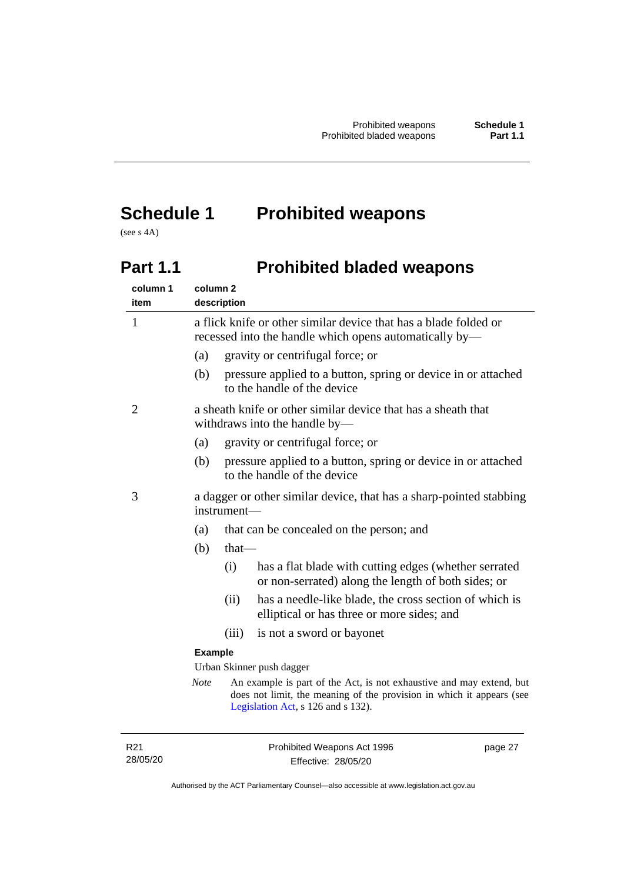# <span id="page-32-0"></span>**Schedule 1 Prohibited weapons**

<span id="page-32-1"></span>(see s 4A)

# **Part 1.1 Prohibited bladed weapons**

| column 1<br>item | column <sub>2</sub><br>description |                                                                                                                            |                                                                                                                                                                                     |
|------------------|------------------------------------|----------------------------------------------------------------------------------------------------------------------------|-------------------------------------------------------------------------------------------------------------------------------------------------------------------------------------|
| $\mathbf{1}$     |                                    | a flick knife or other similar device that has a blade folded or<br>recessed into the handle which opens automatically by— |                                                                                                                                                                                     |
|                  | (a)                                |                                                                                                                            | gravity or centrifugal force; or                                                                                                                                                    |
|                  | (b)                                |                                                                                                                            | pressure applied to a button, spring or device in or attached<br>to the handle of the device                                                                                        |
| 2                |                                    |                                                                                                                            | a sheath knife or other similar device that has a sheath that<br>withdraws into the handle by-                                                                                      |
|                  | (a)                                |                                                                                                                            | gravity or centrifugal force; or                                                                                                                                                    |
|                  | (b)                                |                                                                                                                            | pressure applied to a button, spring or device in or attached<br>to the handle of the device                                                                                        |
| 3                |                                    | a dagger or other similar device, that has a sharp-pointed stabbing<br>instrument—                                         |                                                                                                                                                                                     |
|                  | (a)                                |                                                                                                                            | that can be concealed on the person; and                                                                                                                                            |
|                  | (b)                                | $that$ —                                                                                                                   |                                                                                                                                                                                     |
|                  |                                    | (i)                                                                                                                        | has a flat blade with cutting edges (whether serrated<br>or non-serrated) along the length of both sides; or                                                                        |
|                  |                                    | (ii)                                                                                                                       | has a needle-like blade, the cross section of which is<br>elliptical or has three or more sides; and                                                                                |
|                  |                                    | (iii)                                                                                                                      | is not a sword or bayonet                                                                                                                                                           |
|                  | <b>Example</b>                     |                                                                                                                            |                                                                                                                                                                                     |
|                  |                                    | Urban Skinner push dagger                                                                                                  |                                                                                                                                                                                     |
|                  | <b>Note</b>                        |                                                                                                                            | An example is part of the Act, is not exhaustive and may extend, but<br>does not limit, the meaning of the provision in which it appears (see<br>Legislation Act, s 126 and s 132). |
|                  |                                    |                                                                                                                            |                                                                                                                                                                                     |

page 27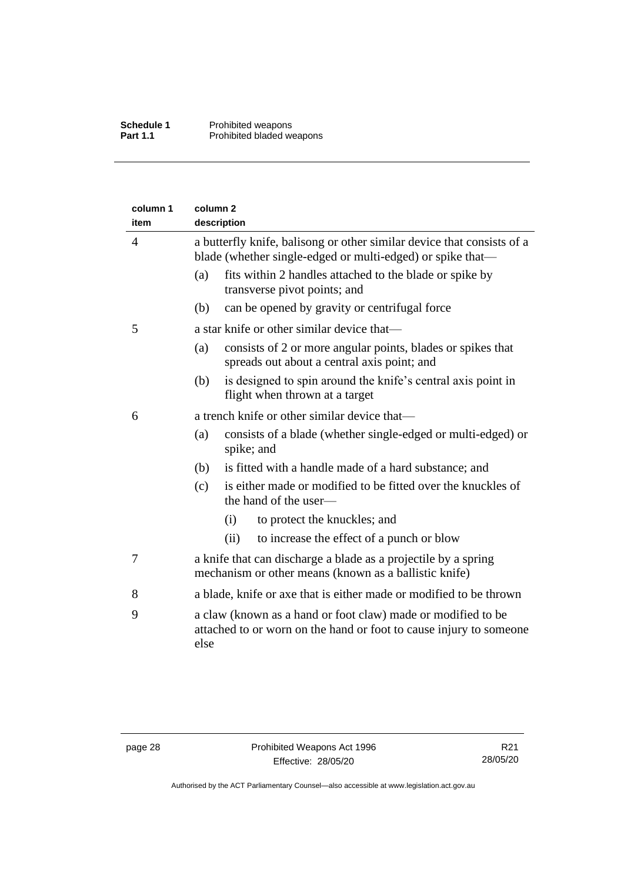| column 1<br>item | column <sub>2</sub><br>description                                                                                                         |  |  |
|------------------|--------------------------------------------------------------------------------------------------------------------------------------------|--|--|
| $\overline{4}$   | a butterfly knife, balisong or other similar device that consists of a<br>blade (whether single-edged or multi-edged) or spike that—       |  |  |
|                  | fits within 2 handles attached to the blade or spike by<br>(a)<br>transverse pivot points; and                                             |  |  |
|                  | (b)<br>can be opened by gravity or centrifugal force                                                                                       |  |  |
| 5                | a star knife or other similar device that—                                                                                                 |  |  |
|                  | consists of 2 or more angular points, blades or spikes that<br>(a)<br>spreads out about a central axis point; and                          |  |  |
|                  | is designed to spin around the knife's central axis point in<br>(b)<br>flight when thrown at a target                                      |  |  |
| 6                | a trench knife or other similar device that—                                                                                               |  |  |
|                  | consists of a blade (whether single-edged or multi-edged) or<br>(a)<br>spike; and                                                          |  |  |
|                  | is fitted with a handle made of a hard substance; and<br>(b)                                                                               |  |  |
|                  | is either made or modified to be fitted over the knuckles of<br>(c)<br>the hand of the user-                                               |  |  |
|                  | to protect the knuckles; and<br>(i)                                                                                                        |  |  |
|                  | to increase the effect of a punch or blow<br>(ii)                                                                                          |  |  |
| 7                | a knife that can discharge a blade as a projectile by a spring<br>mechanism or other means (known as a ballistic knife)                    |  |  |
| 8                | a blade, knife or axe that is either made or modified to be thrown                                                                         |  |  |
| 9                | a claw (known as a hand or foot claw) made or modified to be<br>attached to or worn on the hand or foot to cause injury to someone<br>else |  |  |

Authorised by the ACT Parliamentary Counsel—also accessible at www.legislation.act.gov.au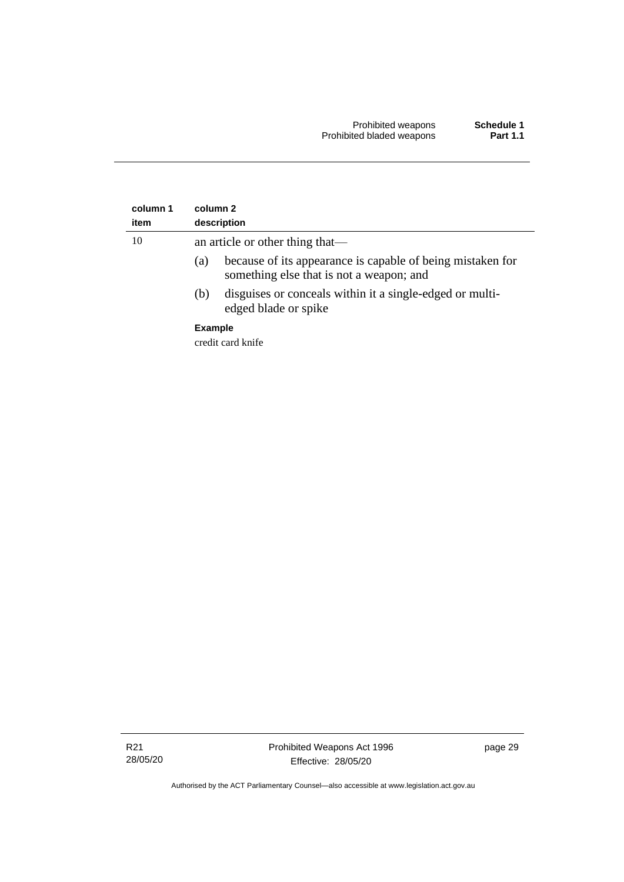| column 1<br>item | column 2<br>description                                                                                       |  |
|------------------|---------------------------------------------------------------------------------------------------------------|--|
| 10               | an article or other thing that—                                                                               |  |
|                  | because of its appearance is capable of being mistaken for<br>(a)<br>something else that is not a weapon; and |  |
|                  | disguises or conceals within it a single-edged or multi-<br>(b)<br>edged blade or spike                       |  |
|                  | <b>Example</b>                                                                                                |  |
|                  | credit card knife                                                                                             |  |

R21 28/05/20 page 29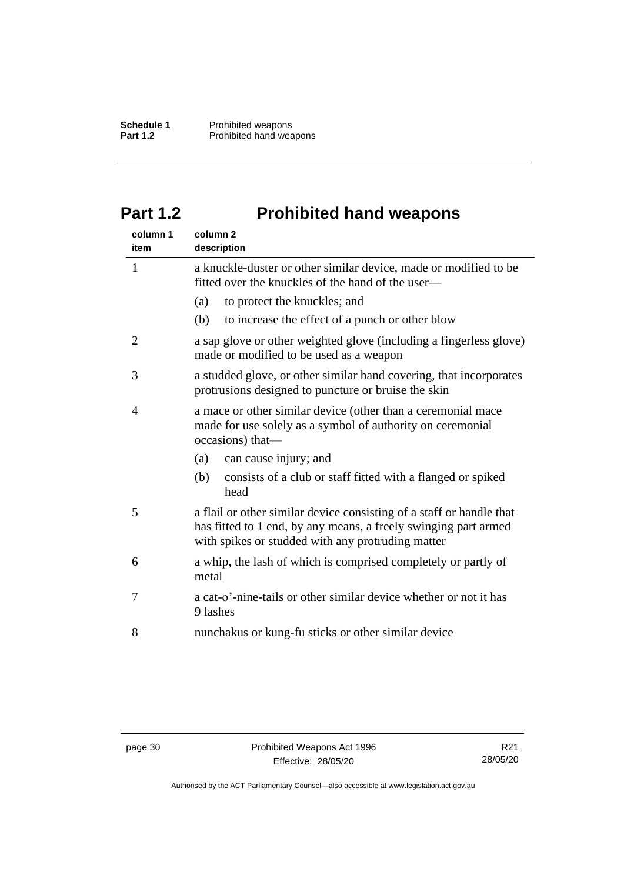# <span id="page-35-0"></span>**Part 1.2 Prohibited hand weapons**

| column 1<br>item | column <sub>2</sub><br>description                                                                                                                                                           |  |
|------------------|----------------------------------------------------------------------------------------------------------------------------------------------------------------------------------------------|--|
| $\mathbf{1}$     | a knuckle-duster or other similar device, made or modified to be<br>fitted over the knuckles of the hand of the user—                                                                        |  |
|                  | (a)<br>to protect the knuckles; and                                                                                                                                                          |  |
|                  | to increase the effect of a punch or other blow<br>(b)                                                                                                                                       |  |
| $\overline{2}$   | a sap glove or other weighted glove (including a fingerless glove)<br>made or modified to be used as a weapon                                                                                |  |
| 3                | a studded glove, or other similar hand covering, that incorporates<br>protrusions designed to puncture or bruise the skin                                                                    |  |
| 4                | a mace or other similar device (other than a ceremonial mace<br>made for use solely as a symbol of authority on ceremonial<br>occasions) that-                                               |  |
|                  | can cause injury; and<br>(a)                                                                                                                                                                 |  |
|                  | (b)<br>consists of a club or staff fitted with a flanged or spiked<br>head                                                                                                                   |  |
| 5                | a flail or other similar device consisting of a staff or handle that<br>has fitted to 1 end, by any means, a freely swinging part armed<br>with spikes or studded with any protruding matter |  |
| 6                | a whip, the lash of which is comprised completely or partly of<br>metal                                                                                                                      |  |
| 7                | a cat-o'-nine-tails or other similar device whether or not it has<br>9 lashes                                                                                                                |  |
| 8                | nunchakus or kung-fu sticks or other similar device                                                                                                                                          |  |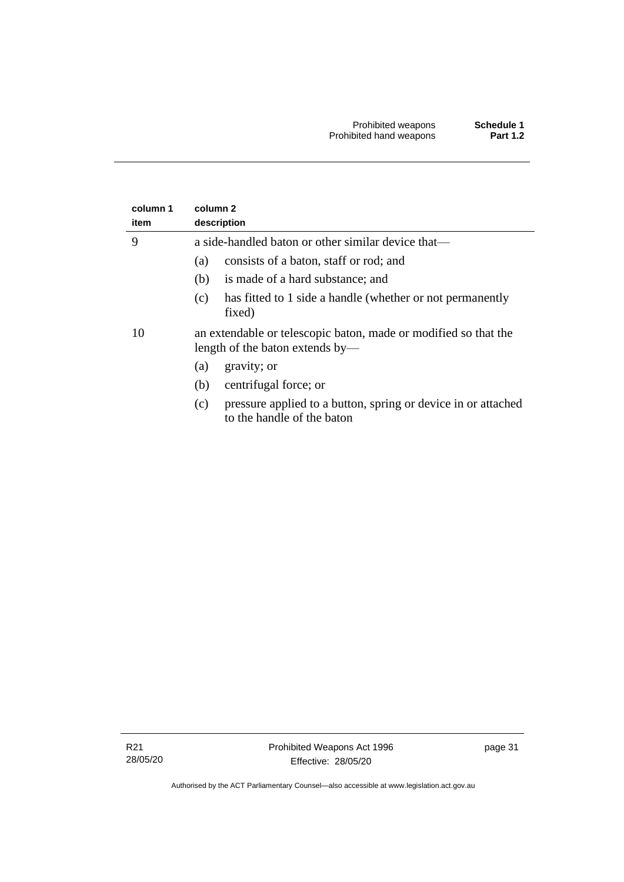| column 1<br>item | column 2<br>description                                                                            |
|------------------|----------------------------------------------------------------------------------------------------|
| 9                | a side-handled baton or other similar device that—                                                 |
|                  | consists of a baton, staff or rod; and<br>(a)                                                      |
|                  | is made of a hard substance; and<br>(b)                                                            |
|                  | has fitted to 1 side a handle (whether or not permanently<br>(c)<br>fixed)                         |
| 10               | an extendable or telescopic baton, made or modified so that the<br>length of the baton extends by— |
|                  | gravity; or<br>(a)                                                                                 |
|                  | centrifugal force; or<br>(b)                                                                       |
|                  | pressure applied to a button, spring or device in or attached<br>(c)<br>to the handle of the baton |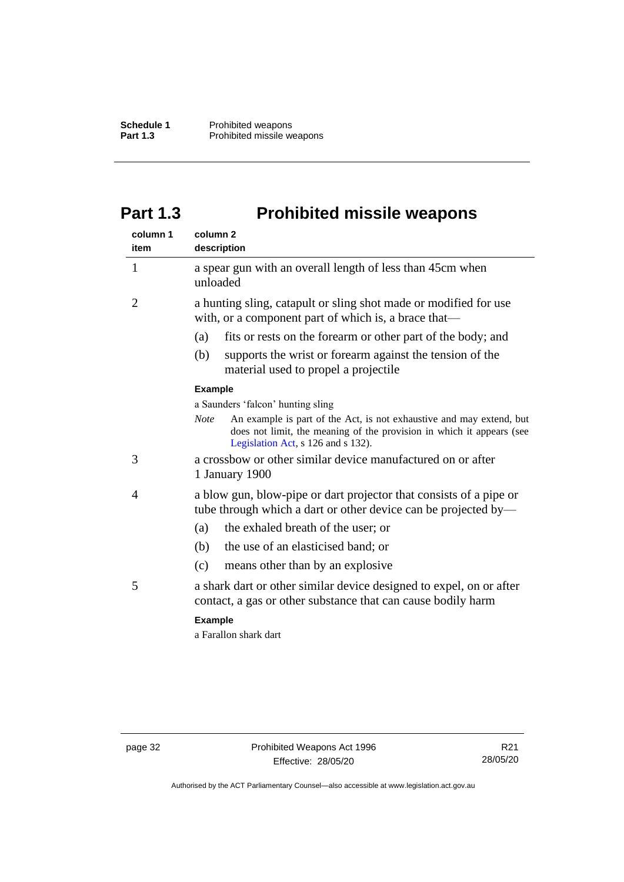# <span id="page-37-0"></span>**Part 1.3 Prohibited missile weapons**

| column 1<br>item | column <sub>2</sub><br>description                                                                                                                                                                 |  |  |
|------------------|----------------------------------------------------------------------------------------------------------------------------------------------------------------------------------------------------|--|--|
| $\mathbf{1}$     | a spear gun with an overall length of less than 45cm when<br>unloaded                                                                                                                              |  |  |
| $\overline{2}$   | a hunting sling, catapult or sling shot made or modified for use<br>with, or a component part of which is, a brace that-                                                                           |  |  |
|                  | fits or rests on the forearm or other part of the body; and<br>(a)                                                                                                                                 |  |  |
|                  | (b)<br>supports the wrist or forearm against the tension of the<br>material used to propel a projectile                                                                                            |  |  |
|                  | <b>Example</b>                                                                                                                                                                                     |  |  |
|                  | a Saunders 'falcon' hunting sling                                                                                                                                                                  |  |  |
|                  | An example is part of the Act, is not exhaustive and may extend, but<br><b>Note</b><br>does not limit, the meaning of the provision in which it appears (see<br>Legislation Act, s 126 and s 132). |  |  |
| 3                | a crossbow or other similar device manufactured on or after<br>1 January 1900                                                                                                                      |  |  |
| 4                | a blow gun, blow-pipe or dart projector that consists of a pipe or<br>tube through which a dart or other device can be projected by—                                                               |  |  |
|                  | the exhaled breath of the user; or<br>(a)                                                                                                                                                          |  |  |
|                  | the use of an elasticised band; or<br>(b)                                                                                                                                                          |  |  |
|                  | (c)<br>means other than by an explosive                                                                                                                                                            |  |  |
| 5                | a shark dart or other similar device designed to expel, on or after<br>contact, a gas or other substance that can cause bodily harm                                                                |  |  |
|                  | <b>Example</b>                                                                                                                                                                                     |  |  |
|                  | a Farallon shark dart                                                                                                                                                                              |  |  |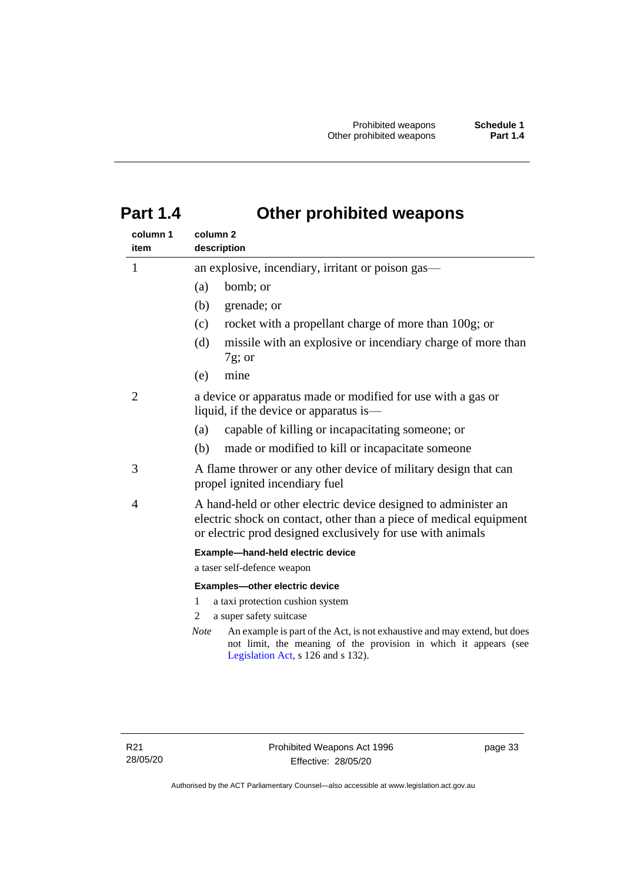# <span id="page-38-0"></span>**Part 1.4 Other prohibited weapons**

| column 1       | column 2                                                                                                                                                                                           |  |  |
|----------------|----------------------------------------------------------------------------------------------------------------------------------------------------------------------------------------------------|--|--|
| item           | description                                                                                                                                                                                        |  |  |
| $\mathbf{1}$   | an explosive, incendiary, irritant or poison gas—                                                                                                                                                  |  |  |
|                | bomb; or<br>(a)                                                                                                                                                                                    |  |  |
|                | (b)<br>grenade; or                                                                                                                                                                                 |  |  |
|                | rocket with a propellant charge of more than 100g; or<br>(c)                                                                                                                                       |  |  |
|                | missile with an explosive or incendiary charge of more than<br>(d)<br>$7g$ ; or                                                                                                                    |  |  |
|                | mine<br>(e)                                                                                                                                                                                        |  |  |
| $\overline{2}$ | a device or apparatus made or modified for use with a gas or<br>liquid, if the device or apparatus is—                                                                                             |  |  |
|                | capable of killing or incapacitating someone; or<br>(a)                                                                                                                                            |  |  |
|                | made or modified to kill or incapacitate someone<br>(b)                                                                                                                                            |  |  |
| 3              | A flame thrower or any other device of military design that can<br>propel ignited incendiary fuel                                                                                                  |  |  |
| 4              | A hand-held or other electric device designed to administer an<br>electric shock on contact, other than a piece of medical equipment<br>or electric prod designed exclusively for use with animals |  |  |
|                | Example-hand-held electric device                                                                                                                                                                  |  |  |
|                | a taser self-defence weapon                                                                                                                                                                        |  |  |
|                | Examples-other electric device                                                                                                                                                                     |  |  |
|                | 1<br>a taxi protection cushion system                                                                                                                                                              |  |  |
|                | a super safety suitcase<br>2                                                                                                                                                                       |  |  |
|                | <b>Note</b><br>An example is part of the Act, is not exhaustive and may extend, but does<br>not limit, the meaning of the provision in which it appears (see<br>Legislation Act, s 126 and s 132). |  |  |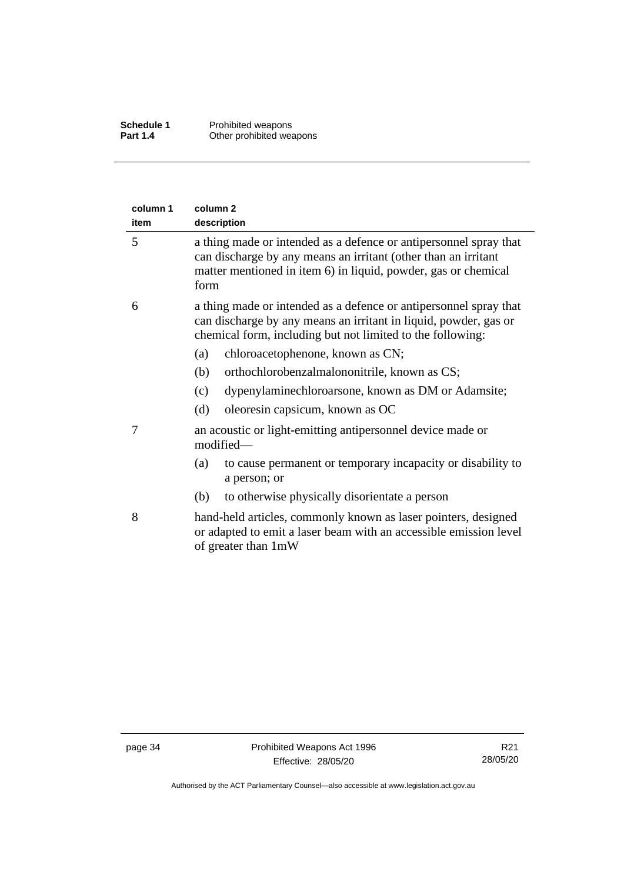| column 1<br>item | column 2<br>description                                                                                                                                                                                       |
|------------------|---------------------------------------------------------------------------------------------------------------------------------------------------------------------------------------------------------------|
| 5                | a thing made or intended as a defence or antipersonnel spray that<br>can discharge by any means an irritant (other than an irritant<br>matter mentioned in item 6) in liquid, powder, gas or chemical<br>form |
| 6                | a thing made or intended as a defence or antipersonnel spray that<br>can discharge by any means an irritant in liquid, powder, gas or<br>chemical form, including but not limited to the following:           |
|                  | chloroacetophenone, known as CN;<br>(a)                                                                                                                                                                       |
|                  | orthochlorobenzalmalononitrile, known as CS;<br>(b)                                                                                                                                                           |
|                  | dypenylaminechloroarsone, known as DM or Adamsite;<br>(c)                                                                                                                                                     |
|                  | (d)<br>oleoresin capsicum, known as OC                                                                                                                                                                        |
| 7                | an acoustic or light-emitting antipersonnel device made or<br>modified-                                                                                                                                       |
|                  | (a)<br>to cause permanent or temporary incapacity or disability to<br>a person; or                                                                                                                            |
|                  | to otherwise physically disorientate a person<br>(b)                                                                                                                                                          |
| 8                | hand-held articles, commonly known as laser pointers, designed<br>or adapted to emit a laser beam with an accessible emission level<br>of greater than 1mW                                                    |

Authorised by the ACT Parliamentary Counsel—also accessible at www.legislation.act.gov.au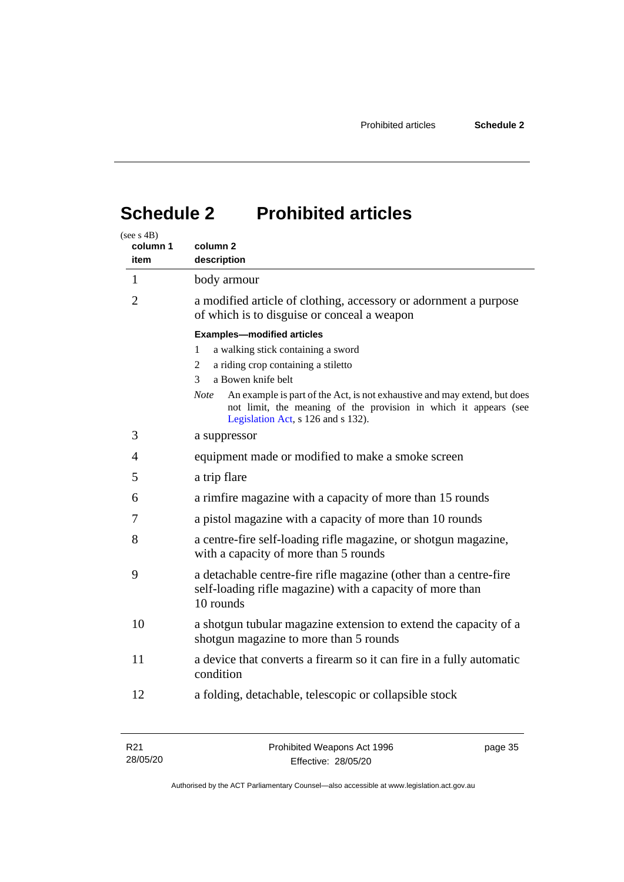# <span id="page-40-0"></span>**Schedule 2 Prohibited articles**

| (see s $4B$ )<br>column 1<br>item | column 2<br>description                                                                                                                                                                                                                                                                                                                                   |  |
|-----------------------------------|-----------------------------------------------------------------------------------------------------------------------------------------------------------------------------------------------------------------------------------------------------------------------------------------------------------------------------------------------------------|--|
| $\mathbf{1}$                      | body armour                                                                                                                                                                                                                                                                                                                                               |  |
| 2                                 | a modified article of clothing, accessory or adornment a purpose<br>of which is to disguise or conceal a weapon                                                                                                                                                                                                                                           |  |
|                                   | <b>Examples-modified articles</b><br>a walking stick containing a sword<br>1<br>a riding crop containing a stiletto<br>2<br>a Bowen knife belt<br>3<br><b>Note</b><br>An example is part of the Act, is not exhaustive and may extend, but does<br>not limit, the meaning of the provision in which it appears (see<br>Legislation Act, s 126 and s 132). |  |
| 3                                 | a suppressor                                                                                                                                                                                                                                                                                                                                              |  |
| 4                                 | equipment made or modified to make a smoke screen                                                                                                                                                                                                                                                                                                         |  |
| 5                                 | a trip flare                                                                                                                                                                                                                                                                                                                                              |  |
| 6                                 | a rimfire magazine with a capacity of more than 15 rounds                                                                                                                                                                                                                                                                                                 |  |
| 7                                 | a pistol magazine with a capacity of more than 10 rounds                                                                                                                                                                                                                                                                                                  |  |
| 8                                 | a centre-fire self-loading rifle magazine, or shotgun magazine,<br>with a capacity of more than 5 rounds                                                                                                                                                                                                                                                  |  |
| 9                                 | a detachable centre-fire rifle magazine (other than a centre-fire<br>self-loading rifle magazine) with a capacity of more than<br>10 rounds                                                                                                                                                                                                               |  |
| 10                                | a shotgun tubular magazine extension to extend the capacity of a<br>shotgun magazine to more than 5 rounds                                                                                                                                                                                                                                                |  |
| 11                                | a device that converts a firearm so it can fire in a fully automatic<br>condition                                                                                                                                                                                                                                                                         |  |
| 12                                | a folding, detachable, telescopic or collapsible stock                                                                                                                                                                                                                                                                                                    |  |

| R <sub>21</sub> | Prohibited Weapons Act 1996 | page 35 |
|-----------------|-----------------------------|---------|
| 28/05/20        | Effective: 28/05/20         |         |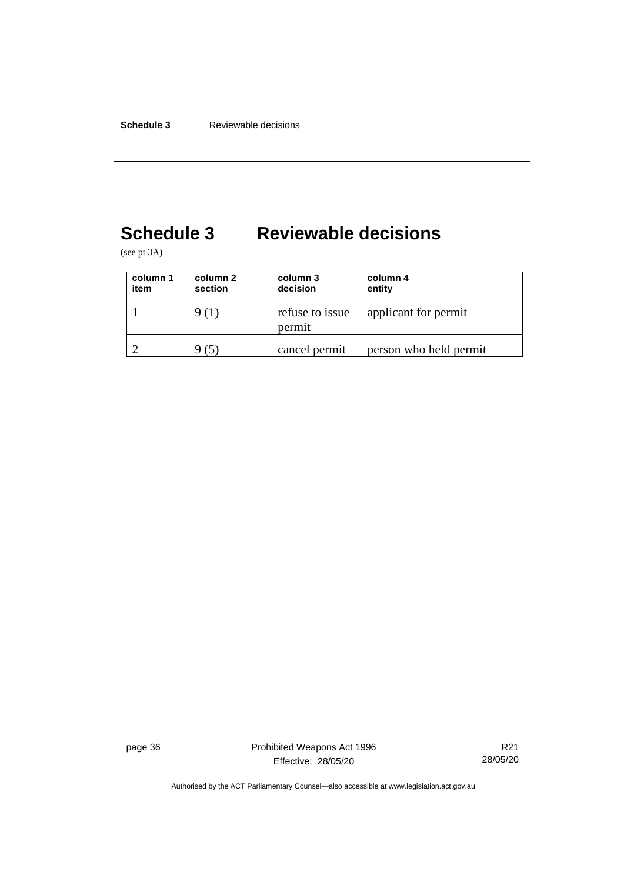# <span id="page-41-0"></span>**Schedule 3 Reviewable decisions**

(see pt 3A)

| column 1<br>item | column 2<br>section | column 3<br>decision      | column 4<br>entity     |
|------------------|---------------------|---------------------------|------------------------|
|                  | 9(1)                | refuse to issue<br>permit | applicant for permit   |
|                  |                     | cancel permit             | person who held permit |

page 36 **Prohibited Weapons Act 1996** Effective: 28/05/20

R21 28/05/20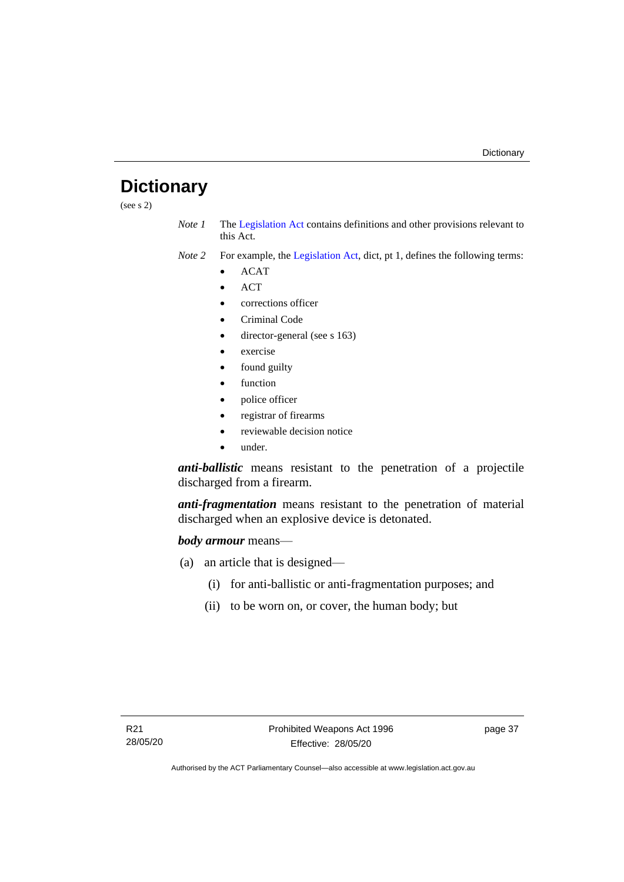# <span id="page-42-0"></span>**Dictionary**

(see s 2)

- *Note 1* The [Legislation Act](http://www.legislation.act.gov.au/a/2001-14) contains definitions and other provisions relevant to this Act.
- *Note 2* For example, the [Legislation Act,](http://www.legislation.act.gov.au/a/2001-14) dict, pt 1, defines the following terms:
	- ACAT
	- ACT
	- corrections officer
	- Criminal Code
	- director-general (see s 163)
	- exercise
	- found guilty
	- function
	- police officer
	- registrar of firearms
	- reviewable decision notice
	- under.

*anti-ballistic* means resistant to the penetration of a projectile discharged from a firearm.

*anti-fragmentation* means resistant to the penetration of material discharged when an explosive device is detonated.

#### *body armour* means—

- (a) an article that is designed—
	- (i) for anti-ballistic or anti-fragmentation purposes; and
	- (ii) to be worn on, or cover, the human body; but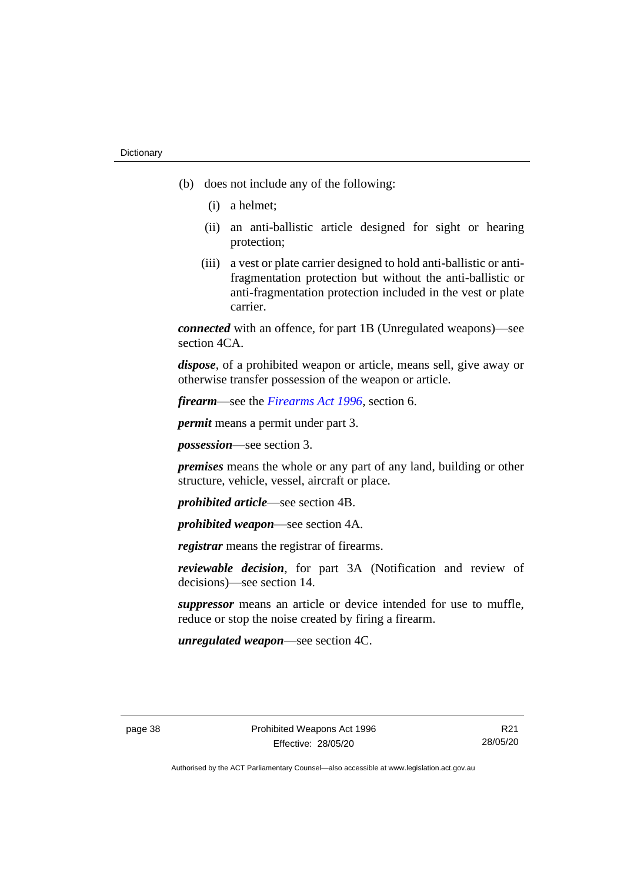- (b) does not include any of the following:
	- (i) a helmet;
	- (ii) an anti-ballistic article designed for sight or hearing protection;
	- (iii) a vest or plate carrier designed to hold anti-ballistic or antifragmentation protection but without the anti-ballistic or anti-fragmentation protection included in the vest or plate carrier.

*connected* with an offence, for part 1B (Unregulated weapons)—see section 4CA.

*dispose*, of a prohibited weapon or article, means sell, give away or otherwise transfer possession of the weapon or article.

*firearm*—see the *[Firearms Act 1996](http://www.legislation.act.gov.au/a/1996-74)*, section 6.

*permit* means a permit under part 3.

*possession*—see section 3.

*premises* means the whole or any part of any land, building or other structure, vehicle, vessel, aircraft or place.

*prohibited article*—see section 4B.

*prohibited weapon*—see section 4A.

*registrar* means the registrar of firearms.

*reviewable decision*, for part 3A (Notification and review of decisions)—see section 14.

*suppressor* means an article or device intended for use to muffle, reduce or stop the noise created by firing a firearm.

*unregulated weapon*—see section 4C.

R21 28/05/20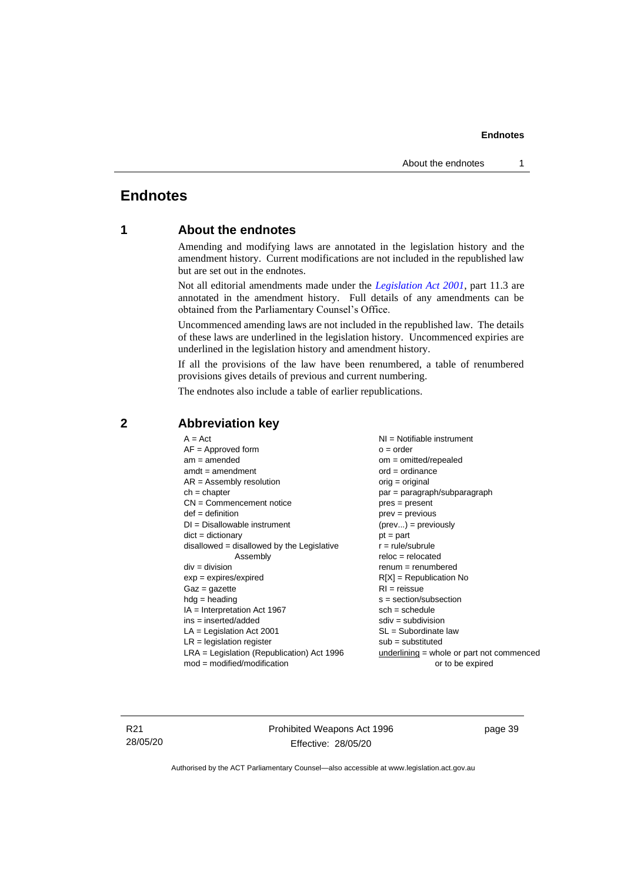## <span id="page-44-1"></span><span id="page-44-0"></span>**Endnotes**

### **1 About the endnotes**

Amending and modifying laws are annotated in the legislation history and the amendment history. Current modifications are not included in the republished law but are set out in the endnotes.

Not all editorial amendments made under the *[Legislation Act 2001](http://www.legislation.act.gov.au/a/2001-14)*, part 11.3 are annotated in the amendment history. Full details of any amendments can be obtained from the Parliamentary Counsel's Office.

Uncommenced amending laws are not included in the republished law. The details of these laws are underlined in the legislation history. Uncommenced expiries are underlined in the legislation history and amendment history.

If all the provisions of the law have been renumbered, a table of renumbered provisions gives details of previous and current numbering.

The endnotes also include a table of earlier republications.

| $A = Act$                                    | $NI =$ Notifiable instrument              |
|----------------------------------------------|-------------------------------------------|
| $AF =$ Approved form                         | $o = order$                               |
| $am = amended$                               | $om = omitted/repealed$                   |
| $amdt = amendment$                           | $ord = ordinance$                         |
| $AR = Assembly resolution$                   | $orig = original$                         |
| $ch = chapter$                               | par = paragraph/subparagraph              |
| $CN =$ Commencement notice                   | $pres = present$                          |
| $def = definition$                           | $prev = previous$                         |
| $DI = Disallowable instrument$               | $(\text{prev}) = \text{previously}$       |
| $dict = dictionary$                          | $pt = part$                               |
| $disallowed = disallowed by the Legislative$ | $r = rule/subrule$                        |
| Assembly                                     | $reloc = relocated$                       |
| $div = division$                             | $remum = renumbered$                      |
| $exp = expires/expired$                      | $R[X]$ = Republication No                 |
| $Gaz = gazette$                              | $RI =$ reissue                            |
| $hdg =$ heading                              | $s = section/subsection$                  |
| $IA = Interpretation Act 1967$               | $sch = schedule$                          |
| $ins = inserted/added$                       | $sdiv = subdivision$                      |
| $LA =$ Legislation Act 2001                  | $SL = Subordinate$ law                    |
| $LR =$ legislation register                  | $sub =$ substituted                       |
| $LRA =$ Legislation (Republication) Act 1996 | underlining = whole or part not commenced |
| $mod = modified/modification$                | or to be expired                          |
|                                              |                                           |

#### <span id="page-44-2"></span>**2 Abbreviation key**

R21 28/05/20 Prohibited Weapons Act 1996 Effective: 28/05/20

page 39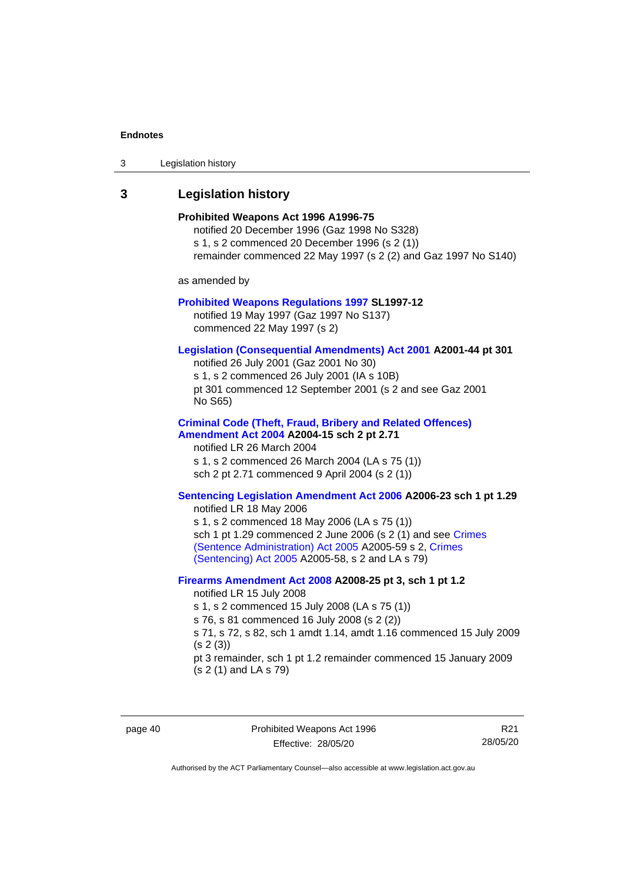| 3 | Legislation history |  |
|---|---------------------|--|
|---|---------------------|--|

## <span id="page-45-0"></span>**3 Legislation history**

| ∟σγιοιαιινπ πιοινι γ                                                                                                                                                                                                                                                                                                                                                |
|---------------------------------------------------------------------------------------------------------------------------------------------------------------------------------------------------------------------------------------------------------------------------------------------------------------------------------------------------------------------|
| Prohibited Weapons Act 1996 A1996-75<br>notified 20 December 1996 (Gaz 1998 No S328)<br>s 1, s 2 commenced 20 December 1996 (s 2 (1))<br>remainder commenced 22 May 1997 (s 2 (2) and Gaz 1997 No S140)                                                                                                                                                             |
| as amended by                                                                                                                                                                                                                                                                                                                                                       |
| <b>Prohibited Weapons Regulations 1997 SL1997-12</b><br>notified 19 May 1997 (Gaz 1997 No S137)<br>commenced 22 May 1997 (s 2)                                                                                                                                                                                                                                      |
| Legislation (Consequential Amendments) Act 2001 A2001-44 pt 301<br>notified 26 July 2001 (Gaz 2001 No 30)<br>s 1, s 2 commenced 26 July 2001 (IA s 10B)<br>pt 301 commenced 12 September 2001 (s 2 and see Gaz 2001<br>No S65)                                                                                                                                      |
| <b>Criminal Code (Theft, Fraud, Bribery and Related Offences)</b><br>Amendment Act 2004 A2004-15 sch 2 pt 2.71<br>notified LR 26 March 2004<br>s 1, s 2 commenced 26 March 2004 (LA s 75 (1))<br>sch 2 pt 2.71 commenced 9 April 2004 (s 2 (1))                                                                                                                     |
| Sentencing Legislation Amendment Act 2006 A2006-23 sch 1 pt 1.29<br>notified LR 18 May 2006<br>s 1, s 2 commenced 18 May 2006 (LA s 75 (1))<br>sch 1 pt 1.29 commenced 2 June 2006 (s 2 (1) and see Crimes<br>(Sentence Administration) Act 2005 A2005-59 s 2, Crimes<br>(Sentencing) Act 2005 A2005-58, s 2 and LA s 79)                                           |
| Firearms Amendment Act 2008 A2008-25 pt 3, sch 1 pt 1.2<br>notified LR 15 July 2008<br>s 1, s 2 commenced 15 July 2008 (LA s 75 (1))<br>s 76, s 81 commenced 16 July 2008 (s 2 (2))<br>s 71, s 72, s 82, sch 1 amdt 1.14, amdt 1.16 commenced 15 July 2009<br>(s 2(3))<br>pt 3 remainder, sch 1 pt 1.2 remainder commenced 15 January 2009<br>(s 2 (1) and LA s 79) |

page 40 **Prohibited Weapons Act 1996** Effective: 28/05/20

R21 28/05/20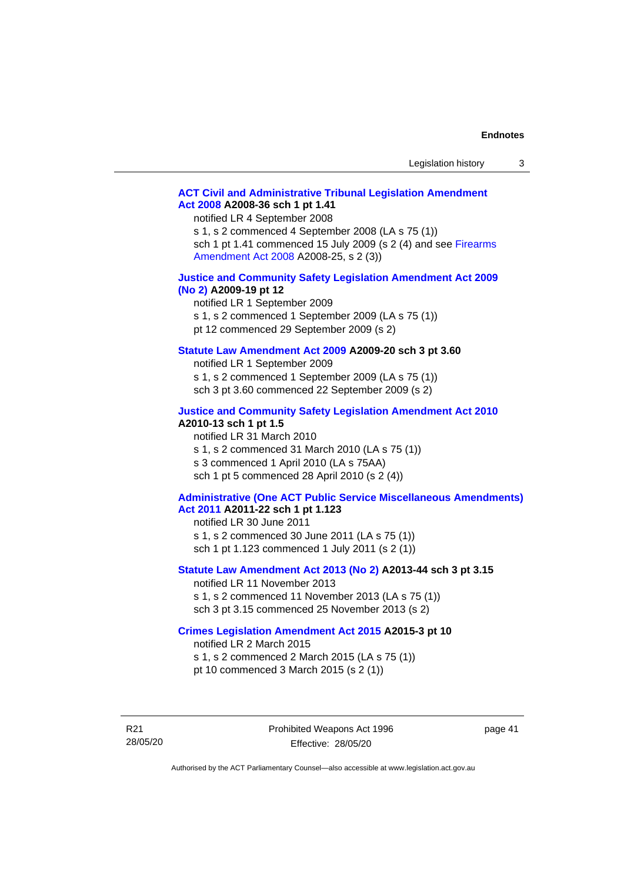| Legislation history |  |
|---------------------|--|
|---------------------|--|

#### **[ACT Civil and Administrative Tribunal Legislation Amendment](http://www.legislation.act.gov.au/a/2008-36)  Act [2008](http://www.legislation.act.gov.au/a/2008-36) A2008-36 sch 1 pt 1.41**

notified LR 4 September 2008

s 1, s 2 commenced 4 September 2008 (LA s 75 (1)) sch 1 pt 1.41 commenced 15 July 2009 (s 2 (4) and see [Firearms](http://www.legislation.act.gov.au/a/2008-25)  [Amendment Act 2008](http://www.legislation.act.gov.au/a/2008-25) A2008-25, s 2 (3))

#### **[Justice and Community Safety Legislation Amendment Act 2009](http://www.legislation.act.gov.au/a/2009-19)  [\(No](http://www.legislation.act.gov.au/a/2009-19) 2) A2009-19 pt 12**

notified LR 1 September 2009 s 1, s 2 commenced 1 September 2009 (LA s 75 (1)) pt 12 commenced 29 September 2009 (s 2)

#### **[Statute Law Amendment Act 2009](http://www.legislation.act.gov.au/a/2009-20) A2009-20 sch 3 pt 3.60**

notified LR 1 September 2009 s 1, s 2 commenced 1 September 2009 (LA s 75 (1)) sch 3 pt 3.60 commenced 22 September 2009 (s 2)

#### **[Justice and Community Safety Legislation Amendment Act 2010](http://www.legislation.act.gov.au/a/2010-13)**

#### **A2010-13 sch 1 pt 1.5**

notified LR 31 March 2010 s 1, s 2 commenced 31 March 2010 (LA s 75 (1)) s 3 commenced 1 April 2010 (LA s 75AA) sch 1 pt 5 commenced 28 April 2010 (s 2 (4))

#### **[Administrative \(One ACT Public Service Miscellaneous Amendments\)](http://www.legislation.act.gov.au/a/2011-22)  Act [2011](http://www.legislation.act.gov.au/a/2011-22) A2011-22 sch 1 pt 1.123**

notified LR 30 June 2011 s 1, s 2 commenced 30 June 2011 (LA s 75 (1)) sch 1 pt 1.123 commenced 1 July 2011 (s 2 (1))

#### **[Statute Law Amendment Act 2013 \(No](http://www.legislation.act.gov.au/a/2013-44) 2) A2013-44 sch 3 pt 3.15**

notified LR 11 November 2013 s 1, s 2 commenced 11 November 2013 (LA s 75 (1)) sch 3 pt 3.15 commenced 25 November 2013 (s 2)

#### **[Crimes Legislation Amendment Act 2015](http://www.legislation.act.gov.au/a/2015-3/default.asp) A2015-3 pt 10**

notified LR 2 March 2015

s 1, s 2 commenced 2 March 2015 (LA s 75 (1)) pt 10 commenced 3 March 2015 (s 2 (1))

R21 28/05/20 page 41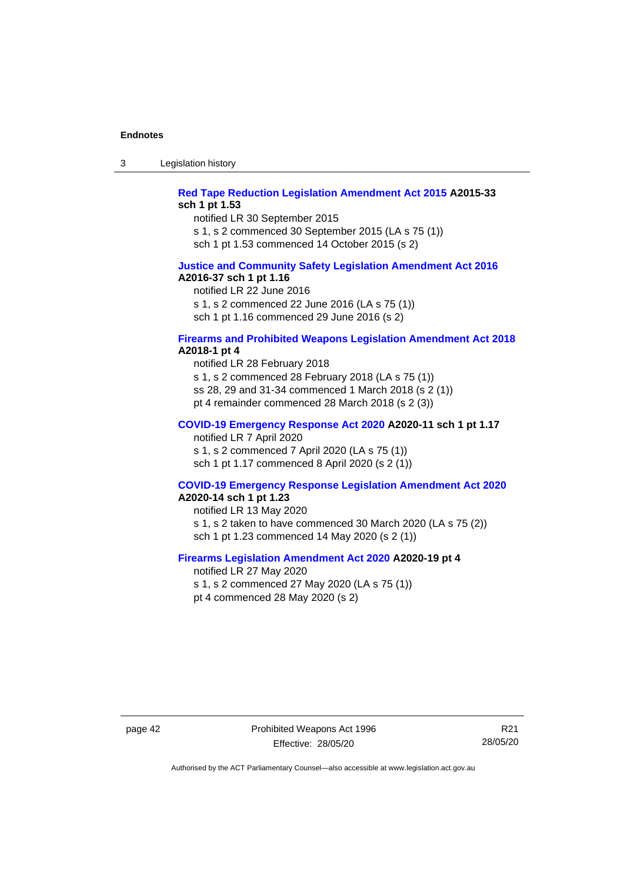3 Legislation history

#### **[Red Tape Reduction Legislation Amendment Act 2015](http://www.legislation.act.gov.au/a/2015-33/default.asp) A2015-33 sch 1 pt 1.53**

notified LR 30 September 2015

s 1, s 2 commenced 30 September 2015 (LA s 75 (1))

sch 1 pt 1.53 commenced 14 October 2015 (s 2)

#### **[Justice and Community Safety Legislation Amendment Act 2016](http://www.legislation.act.gov.au/a/2016-37) A2016-37 sch 1 pt 1.16**

notified LR 22 June 2016 s 1, s 2 commenced 22 June 2016 (LA s 75 (1)) sch 1 pt 1.16 commenced 29 June 2016 (s 2)

#### **[Firearms and Prohibited Weapons Legislation Amendment Act 2018](http://www.legislation.act.gov.au/a/2018-1/default.asp) A2018-1 pt 4**

notified LR 28 February 2018 s 1, s 2 commenced 28 February 2018 (LA s 75 (1)) ss 28, 29 and 31-34 commenced 1 March 2018 (s 2 (1)) pt 4 remainder commenced 28 March 2018 (s 2 (3))

#### **[COVID-19 Emergency Response Act 2020](http://www.legislation.act.gov.au/a/2020-11/#history) A2020-11 sch 1 pt 1.17**

notified LR 7 April 2020 s 1, s 2 commenced 7 April 2020 (LA s 75 (1)) sch 1 pt 1.17 commenced 8 April 2020 (s 2 (1))

#### **[COVID-19 Emergency Response Legislation Amendment Act 2020](http://www.legislation.act.gov.au/a/2020-14/) A2020-14 sch 1 pt 1.23**

notified LR 13 May 2020 s 1, s 2 taken to have commenced 30 March 2020 (LA s 75 (2)) sch 1 pt 1.23 commenced 14 May 2020 (s 2 (1))

#### **[Firearms Legislation Amendment Act 2020](http://www.legislation.act.gov.au/a/2020-19/) A2020-19 pt 4**

notified LR 27 May 2020 s 1, s 2 commenced 27 May 2020 (LA s 75 (1)) pt 4 commenced 28 May 2020 (s 2)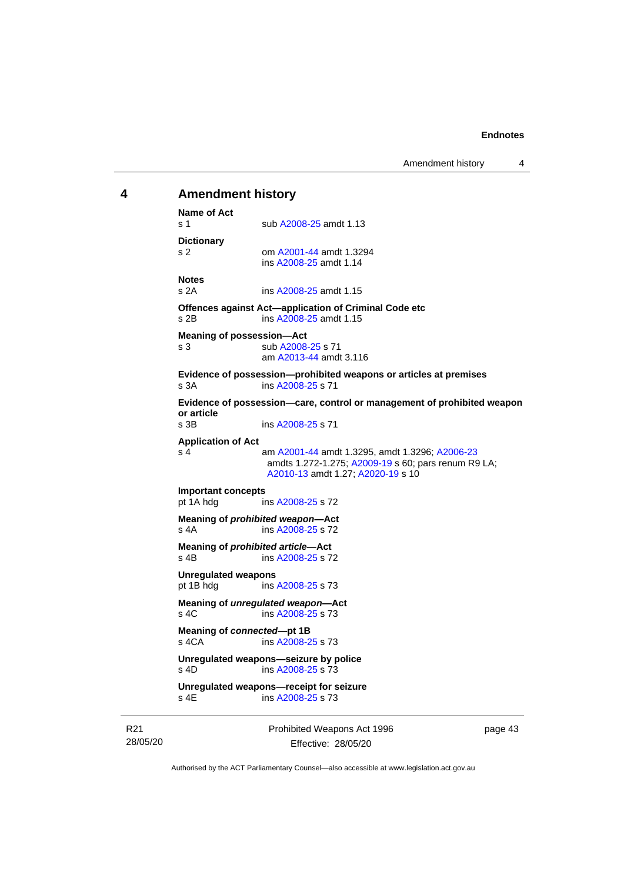## <span id="page-48-0"></span>**4 Amendment history Name of Act** s 1 sub [A2008-25](http://www.legislation.act.gov.au/a/2008-25) amdt 1.13 **Dictionary** s 2 om [A2001-44](http://www.legislation.act.gov.au/a/2001-44) amdt 1.3294 ins [A2008-25](http://www.legislation.act.gov.au/a/2008-25) amdt 1.14 **Notes** s 2A ins [A2008-25](http://www.legislation.act.gov.au/a/2008-25) amdt 1.15 **Offences against Act—application of Criminal Code etc** s 2B ins [A2008-25](http://www.legislation.act.gov.au/a/2008-25) amdt 1.15 **Meaning of possession—Act** s 3 sub [A2008-25](http://www.legislation.act.gov.au/a/2008-25) s 71 am [A2013-44](http://www.legislation.act.gov.au/a/2013-44) amdt 3.116 **Evidence of possession—prohibited weapons or articles at premises** s 3A ins [A2008-25](http://www.legislation.act.gov.au/a/2008-25) s 71 **Evidence of possession—care, control or management of prohibited weapon or article** ins [A2008-25](http://www.legislation.act.gov.au/a/2008-25) s 71 **Application of Act** s 4 am [A2001-44](http://www.legislation.act.gov.au/a/2001-44) amdt 1.3295, amdt 1.3296[; A2006-23](http://www.legislation.act.gov.au/a/2006-23) amdts 1.272-1.275; [A2009-19](http://www.legislation.act.gov.au/a/2009-19) s 60; pars renum R9 LA; [A2010-13](http://www.legislation.act.gov.au/a/2010-13) amdt 1.27[; A2020-19](http://www.legislation.act.gov.au/a/2020-19/) s 10 **Important concepts** ins [A2008-25](http://www.legislation.act.gov.au/a/2008-25) s 72 **Meaning of** *prohibited weapon***—Act** s 4A ins [A2008-25](http://www.legislation.act.gov.au/a/2008-25) s 72 **Meaning of** *prohibited article***—Act** s 4B ins [A2008-25](http://www.legislation.act.gov.au/a/2008-25) s 72 **Unregulated weapons** pt 1B hdg ins [A2008-25](http://www.legislation.act.gov.au/a/2008-25) s 73

**Meaning of** *unregulated weapon***—Act** s 4C ins [A2008-25](http://www.legislation.act.gov.au/a/2008-25) s 73

**Meaning of** *connected***—pt 1B** s 4CA ins [A2008-25](http://www.legislation.act.gov.au/a/2008-25) s 73

**Unregulated weapons—seizure by police** s 4D ins [A2008-25](http://www.legislation.act.gov.au/a/2008-25) s 73

**Unregulated weapons—receipt for seizure** ins [A2008-25](http://www.legislation.act.gov.au/a/2008-25) s 73

R21 28/05/20 Prohibited Weapons Act 1996 Effective: 28/05/20

page 43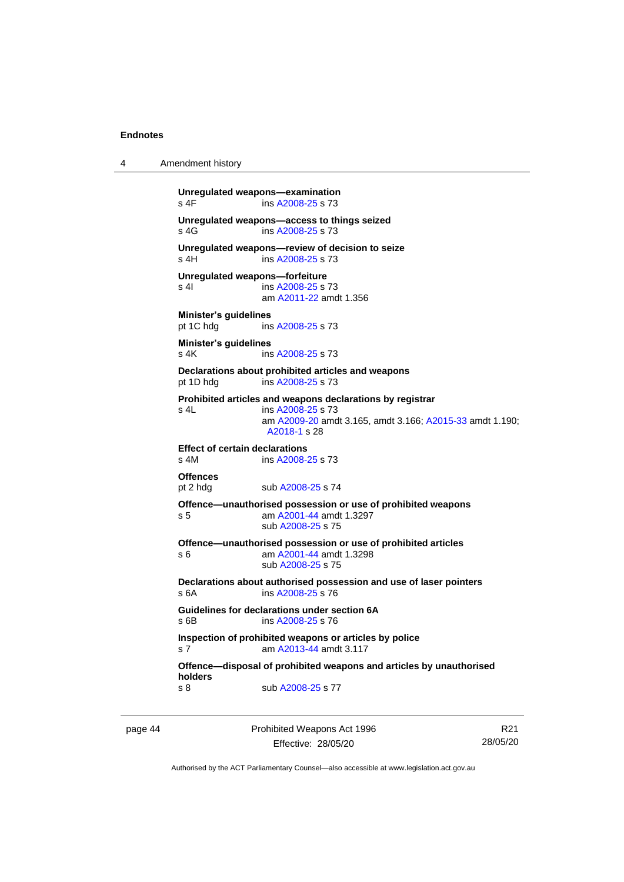4 Amendment history

```
Unregulated weapons—examination
 A2008-25 s 73
Unregulated weapons—access to things seized
 A2008-25 s 73
Unregulated weapons—review of decision to seize
 A2008-25 s 73
Unregulated weapons—forfeiture
 A2008-25 s 73
              am A2011-22 amdt 1.356
Minister's guidelines
pt 1C hdg ins A2008-25 s 73
Minister's guidelines
 A2008-25 s 73
Declarations about prohibited articles and weapons
pt 1D hdg ins A2008-25 s 73
Prohibited articles and weapons declarations by registrar
s 4L ins A2008-25 s 73
               am A2009-20 amdt 3.165, amdt 3.166; A2015-33 amdt 1.190; 
               A2018-1 s 28
Effect of certain declarations
s 4M ins A2008-25 s 73
Offences
 A2008-25 s 74
Offence—unauthorised possession or use of prohibited weapons
 A2001-44 amdt 1.3297
               sub A2008-25 s 75
Offence—unauthorised possession or use of prohibited articles
s 6 am A2001-44 amdt 1.3298
              sub A2008-25 s 75
Declarations about authorised possession and use of laser pointers
s 6A ins A2008-25 s 76
Guidelines for declarations under section 6A
s 6B ins A2008-25 s 76
Inspection of prohibited weapons or articles by police
s 7 am A2013-44 amdt 3.117
Offence—disposal of prohibited weapons and articles by unauthorised 
holders
 A2008-25 s 77
```
page 44 Prohibited Weapons Act 1996 Effective: 28/05/20

R21 28/05/20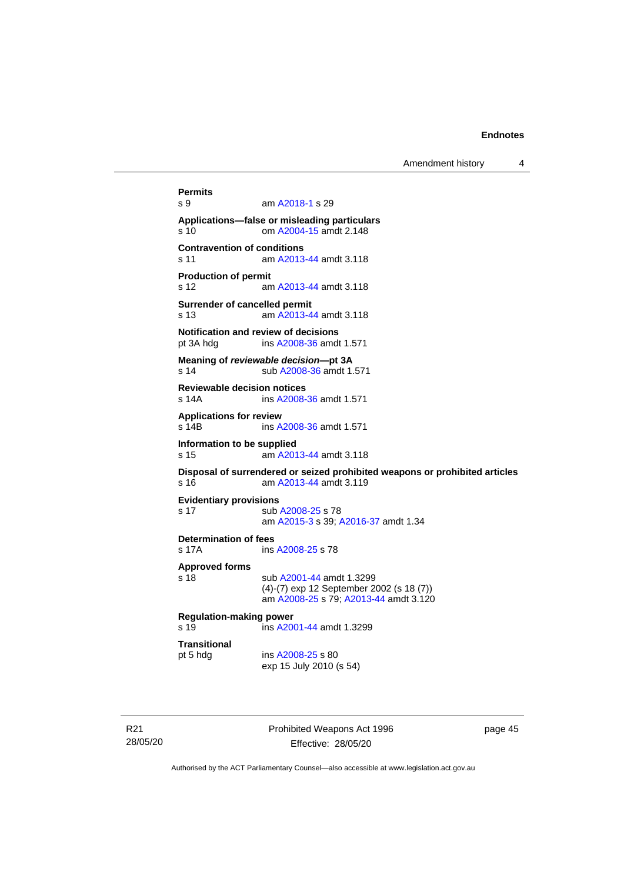Amendment history 4

**Permits** am [A2018-1](http://www.legislation.act.gov.au/a/2018-1/default.asp) s 29 **Applications—false or misleading particulars** s 10 om [A2004-15](http://www.legislation.act.gov.au/a/2004-15) amdt 2.148 **Contravention of conditions** s 11 am [A2013-44](http://www.legislation.act.gov.au/a/2013-44) amdt 3.118 **Production of permit** s 12 am [A2013-44](http://www.legislation.act.gov.au/a/2013-44) amdt 3.118 **Surrender of cancelled permit** s 13 am [A2013-44](http://www.legislation.act.gov.au/a/2013-44) amdt 3.118 **Notification and review of decisions** pt 3A hdg ins [A2008-36](http://www.legislation.act.gov.au/a/2008-36) amdt 1.571 **Meaning of** *reviewable decision—***pt 3A** s 14 sub [A2008-36](http://www.legislation.act.gov.au/a/2008-36) amdt 1.571 **Reviewable decision notices** s 14A ins [A2008-36](http://www.legislation.act.gov.au/a/2008-36) amdt 1.571 **Applications for review** s 14B ins [A2008-36](http://www.legislation.act.gov.au/a/2008-36) amdt 1.571 **Information to be supplied** s 15 am [A2013-44](http://www.legislation.act.gov.au/a/2013-44) amdt 3.118 **Disposal of surrendered or seized prohibited weapons or prohibited articles** s 16 am [A2013-44](http://www.legislation.act.gov.au/a/2013-44) amdt 3.119 **Evidentiary provisions** s 17 sub [A2008-25](http://www.legislation.act.gov.au/a/2008-25) s 78 am [A2015-3](http://www.legislation.act.gov.au/a/2015-3) s 39[; A2016-37](http://www.legislation.act.gov.au/a/2016-37/default.asp) amdt 1.34 **Determination of fees** s 17A ins [A2008-25](http://www.legislation.act.gov.au/a/2008-25) s 78 **Approved forms** s 18 sub [A2001-44](http://www.legislation.act.gov.au/a/2001-44) amdt 1.3299 (4)-(7) exp 12 September 2002 (s 18 (7)) am [A2008-25](http://www.legislation.act.gov.au/a/2008-25) s 79[; A2013-44](http://www.legislation.act.gov.au/a/2013-44) amdt 3.120 **Regulation-making power**<br>s 19 ins A20 ins [A2001-44](http://www.legislation.act.gov.au/a/2001-44) amdt 1.3299 **Transitional** pt 5 hdg ins [A2008-25](http://www.legislation.act.gov.au/a/2008-25) s 80 exp 15 July 2010 (s 54)

R21 28/05/20 Prohibited Weapons Act 1996 Effective: 28/05/20

page 45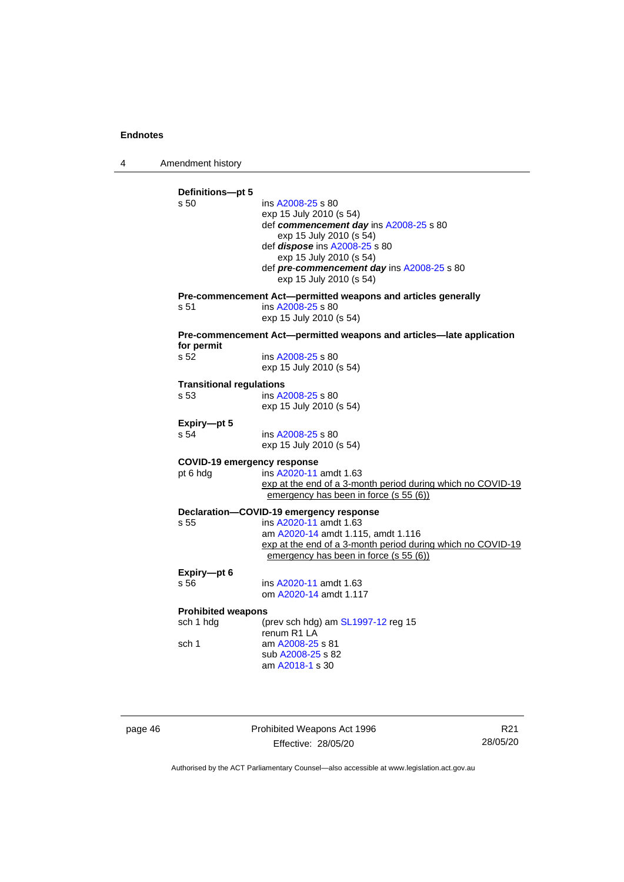4 Amendment history

| s 50                               | ins A2008-25 s 80<br>exp 15 July 2010 (s 54)<br>def commencement day ins A2008-25 s 80<br>exp 15 July 2010 (s 54)<br>def dispose ins A2008-25 s 80<br>exp 15 July 2010 (s 54)<br>def pre-commencement day ins A2008-25 s 80<br>exp 15 July 2010 (s 54) |
|------------------------------------|--------------------------------------------------------------------------------------------------------------------------------------------------------------------------------------------------------------------------------------------------------|
| s 51                               | Pre-commencement Act-permitted weapons and articles generally<br>ins A2008-25 s 80<br>exp 15 July 2010 (s 54)                                                                                                                                          |
|                                    | Pre-commencement Act—permitted weapons and articles—late application                                                                                                                                                                                   |
| for permit<br>s 52                 | ins A2008-25 s 80<br>exp 15 July 2010 (s 54)                                                                                                                                                                                                           |
| <b>Transitional regulations</b>    |                                                                                                                                                                                                                                                        |
| s 53                               | ins A2008-25 s 80<br>exp 15 July 2010 (s 54)                                                                                                                                                                                                           |
| Expiry-pt 5                        |                                                                                                                                                                                                                                                        |
| s 54                               | ins A2008-25 s 80<br>exp 15 July 2010 (s 54)                                                                                                                                                                                                           |
| <b>COVID-19 emergency response</b> |                                                                                                                                                                                                                                                        |
| pt 6 hdg                           | ins A2020-11 amdt 1.63<br>exp at the end of a 3-month period during which no COVID-19<br>emergency has been in force (s 55 (6))                                                                                                                        |
|                                    | Declaration-COVID-19 emergency response                                                                                                                                                                                                                |
| s 55                               | ins A2020-11 amdt 1.63<br>am A2020-14 amdt 1.115, amdt 1.116<br>exp at the end of a 3-month period during which no COVID-19<br>emergency has been in force (s 55 (6))                                                                                  |
| Expiry-pt 6                        |                                                                                                                                                                                                                                                        |
| s 56                               | ins A2020-11 amdt 1.63<br>om A2020-14 amdt 1.117                                                                                                                                                                                                       |
| <b>Prohibited weapons</b>          |                                                                                                                                                                                                                                                        |
| sch 1 hdg                          | (prev sch hdg) am $SL1997-12$ reg 15<br>renum R1 LA                                                                                                                                                                                                    |
| sch 1                              | am A2008-25 s 81                                                                                                                                                                                                                                       |

page 46 **Prohibited Weapons Act 1996** Effective: 28/05/20

R21 28/05/20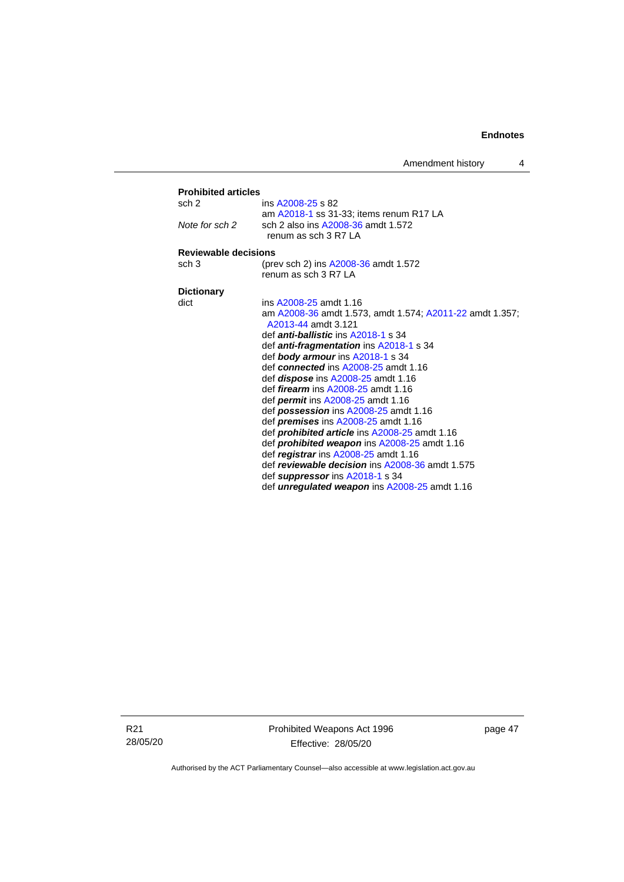| Amendment history |  |  |
|-------------------|--|--|
|-------------------|--|--|

| <b>Prohibited articles</b> |                                                                                 |
|----------------------------|---------------------------------------------------------------------------------|
| sch 2                      | ins A2008-25 s 82                                                               |
|                            | am A2018-1 ss 31-33; items renum R17 LA                                         |
| Note for sch 2             | sch 2 also ins A2008-36 amdt 1.572                                              |
|                            | renum as sch 3 R7 LA                                                            |
| Reviewable decisions       |                                                                                 |
| sch <sub>3</sub>           | (prev sch 2) ins A2008-36 amdt 1.572                                            |
|                            | renum as sch 3 R7 LA                                                            |
|                            |                                                                                 |
| <b>Dictionary</b>          |                                                                                 |
| dict                       | ins A2008-25 amdt 1.16                                                          |
|                            | am A2008-36 amdt 1.573, amdt 1.574; A2011-22 amdt 1.357;<br>A2013-44 amdt 3.121 |
|                            | def <i>anti-ballistic</i> ins A2018-1 s 34                                      |
|                            |                                                                                 |
|                            | def <i>anti-fragmentation</i> ins A2018-1 s 34                                  |
|                            | def body armour ins A2018-1 s 34                                                |
|                            | def connected ins A2008-25 amdt 1.16                                            |
|                            | def <i>dispose</i> ins A2008-25 amdt 1.16                                       |
|                            | def <i>firearm</i> ins A2008-25 amdt 1.16                                       |
|                            | def <i>permit</i> ins A2008-25 amdt 1.16                                        |
|                            | def <b>possession</b> ins $A2008-25$ amdt 1.16                                  |
|                            | def <i>premises</i> ins A2008-25 amdt 1.16                                      |
|                            | def <i>prohibited article</i> ins A2008-25 amdt 1.16                            |
|                            | def prohibited weapon ins A2008-25 amdt 1.16                                    |
|                            | def registrar ins A2008-25 amdt 1.16                                            |
|                            | def reviewable decision ins A2008-36 amdt 1.575                                 |
|                            | def suppressor ins A2018-1 s 34                                                 |
|                            | def <i>unregulated weapon</i> ins A2008-25 amdt 1.16                            |

R21 28/05/20 Prohibited Weapons Act 1996 Effective: 28/05/20

page 47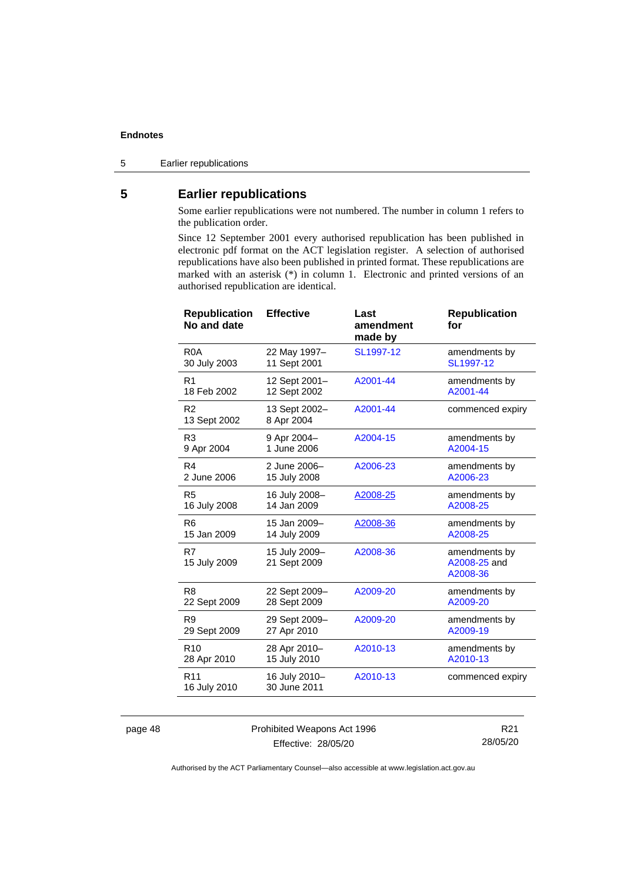5 Earlier republications

## <span id="page-53-0"></span>**5 Earlier republications**

Some earlier republications were not numbered. The number in column 1 refers to the publication order.

Since 12 September 2001 every authorised republication has been published in electronic pdf format on the ACT legislation register. A selection of authorised republications have also been published in printed format. These republications are marked with an asterisk (\*) in column 1. Electronic and printed versions of an authorised republication are identical.

| <b>Republication</b><br>No and date | <b>Effective</b>              | Last<br>amendment<br>made by | <b>Republication</b><br>for               |
|-------------------------------------|-------------------------------|------------------------------|-------------------------------------------|
| R <sub>0</sub> A                    | 22 May 1997-                  | SL1997-12                    | amendments by                             |
| 30 July 2003                        | 11 Sept 2001                  |                              | SL1997-12                                 |
| R <sub>1</sub>                      | 12 Sept 2001-                 | A2001-44                     | amendments by                             |
| 18 Feb 2002                         | 12 Sept 2002                  |                              | A2001-44                                  |
| R <sub>2</sub><br>13 Sept 2002      | 13 Sept 2002-<br>8 Apr 2004   | A2001-44                     | commenced expiry                          |
| R <sub>3</sub>                      | 9 Apr 2004-                   | A2004-15                     | amendments by                             |
| 9 Apr 2004                          | 1 June 2006                   |                              | A2004-15                                  |
| R <sub>4</sub>                      | 2 June 2006-                  | A2006-23                     | amendments by                             |
| 2 June 2006                         | 15 July 2008                  |                              | A2006-23                                  |
| R <sub>5</sub>                      | 16 July 2008-                 | A2008-25                     | amendments by                             |
| 16 July 2008                        | 14 Jan 2009                   |                              | A2008-25                                  |
| R <sub>6</sub>                      | 15 Jan 2009-                  | A2008-36                     | amendments by                             |
| 15 Jan 2009                         | 14 July 2009                  |                              | A2008-25                                  |
| R7<br>15 July 2009                  | 15 July 2009-<br>21 Sept 2009 | A2008-36                     | amendments by<br>A2008-25 and<br>A2008-36 |
| R <sub>8</sub>                      | 22 Sept 2009-                 | A2009-20                     | amendments by                             |
| 22 Sept 2009                        | 28 Sept 2009                  |                              | A2009-20                                  |
| R <sub>9</sub>                      | 29 Sept 2009-                 | A2009-20                     | amendments by                             |
| 29 Sept 2009                        | 27 Apr 2010                   |                              | A2009-19                                  |
| R <sub>10</sub>                     | 28 Apr 2010-                  | A2010-13                     | amendments by                             |
| 28 Apr 2010                         | 15 July 2010                  |                              | A2010-13                                  |
| R <sub>11</sub><br>16 July 2010     | 16 July 2010-<br>30 June 2011 | A2010-13                     | commenced expiry                          |

| page 48 |  |
|---------|--|
|---------|--|

48 **Prohibited Weapons Act 1996** Effective: 28/05/20

R21 28/05/20